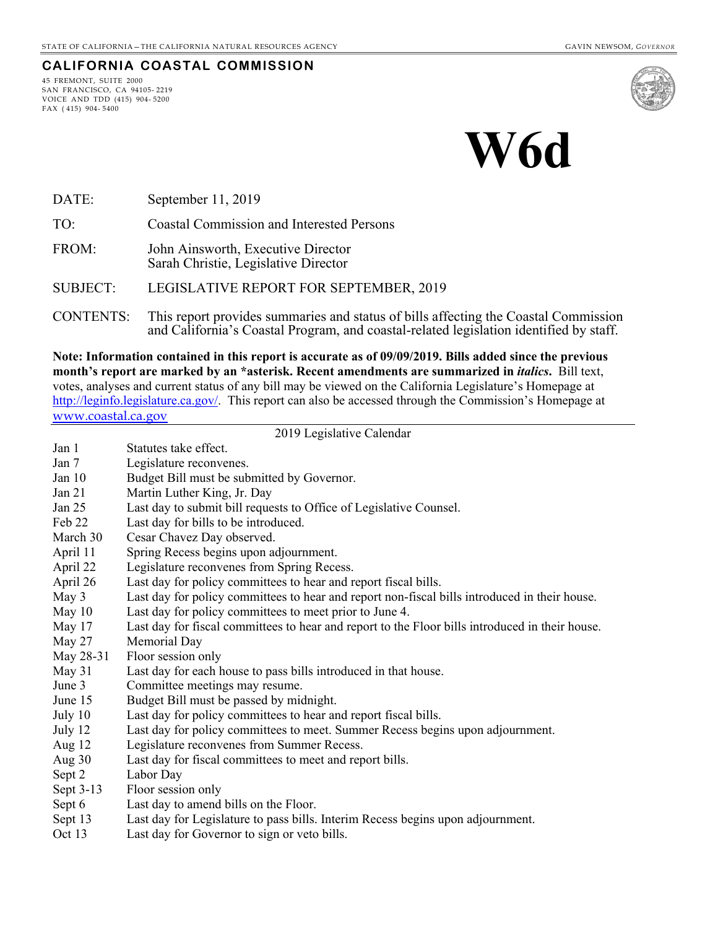#### **CALIFORNIA COASTAL COMMISSION**

45 FREMONT, SUITE 2000 SAN FRANCISCO, CA 94105- 2219 VOICE AND TDD (415) 904- 5200 FAX ( 415) 904- 5400



# **W6d**

- DATE: September 11, 2019
- TO: Coastal Commission and Interested Persons
- FROM: John Ainsworth, Executive Director Sarah Christie, Legislative Director
- SUBJECT: LEGISLATIVE REPORT FOR SEPTEMBER, 2019
- CONTENTS: This report provides summaries and status of bills affecting the Coastal Commission and California's Coastal Program, and coastal-related legislation identified by staff.

**Note: Information contained in this report is accurate as of 09/09/2019. Bills added since the previous month's report are marked by an \*asterisk. Recent amendments are summarized in** *italics***.** Bill text, votes, analyses and current status of any bill may be viewed on the California Legislature's Homepage at [http://leginfo.legislature.ca.gov/.](http://leginfo.legislature.ca.gov/) This report can also be accessed through the Commission's Homepage at [www.coastal.ca.gov](http://www.coastal.ca.gov/)

#### 2019 Legislative Calendar

| Jan 1     | Statutes take effect.                                                                           |
|-----------|-------------------------------------------------------------------------------------------------|
| Jan 7     | Legislature reconvenes.                                                                         |
| Jan 10    | Budget Bill must be submitted by Governor.                                                      |
| Jan 21    | Martin Luther King, Jr. Day                                                                     |
| Jan 25    | Last day to submit bill requests to Office of Legislative Counsel.                              |
| Feb 22    | Last day for bills to be introduced.                                                            |
| March 30  | Cesar Chavez Day observed.                                                                      |
| April 11  | Spring Recess begins upon adjournment.                                                          |
| April 22  | Legislature reconvenes from Spring Recess.                                                      |
| April 26  | Last day for policy committees to hear and report fiscal bills.                                 |
| May 3     | Last day for policy committees to hear and report non-fiscal bills introduced in their house.   |
| May 10    | Last day for policy committees to meet prior to June 4.                                         |
| May 17    | Last day for fiscal committees to hear and report to the Floor bills introduced in their house. |
| May 27    | Memorial Day                                                                                    |
| May 28-31 | Floor session only                                                                              |
| May 31    | Last day for each house to pass bills introduced in that house.                                 |
| June 3    | Committee meetings may resume.                                                                  |
| June 15   | Budget Bill must be passed by midnight.                                                         |
| July 10   | Last day for policy committees to hear and report fiscal bills.                                 |
| July 12   | Last day for policy committees to meet. Summer Recess begins upon adjournment.                  |
| Aug 12    | Legislature reconvenes from Summer Recess.                                                      |
| Aug 30    | Last day for fiscal committees to meet and report bills.                                        |
| Sept 2    | Labor Day                                                                                       |
| Sept 3-13 | Floor session only                                                                              |
| Sept 6    | Last day to amend bills on the Floor.                                                           |
| Sept 13   | Last day for Legislature to pass bills. Interim Recess begins upon adjournment.                 |
| Oct 13    | Last day for Governor to sign or veto bills.                                                    |
|           |                                                                                                 |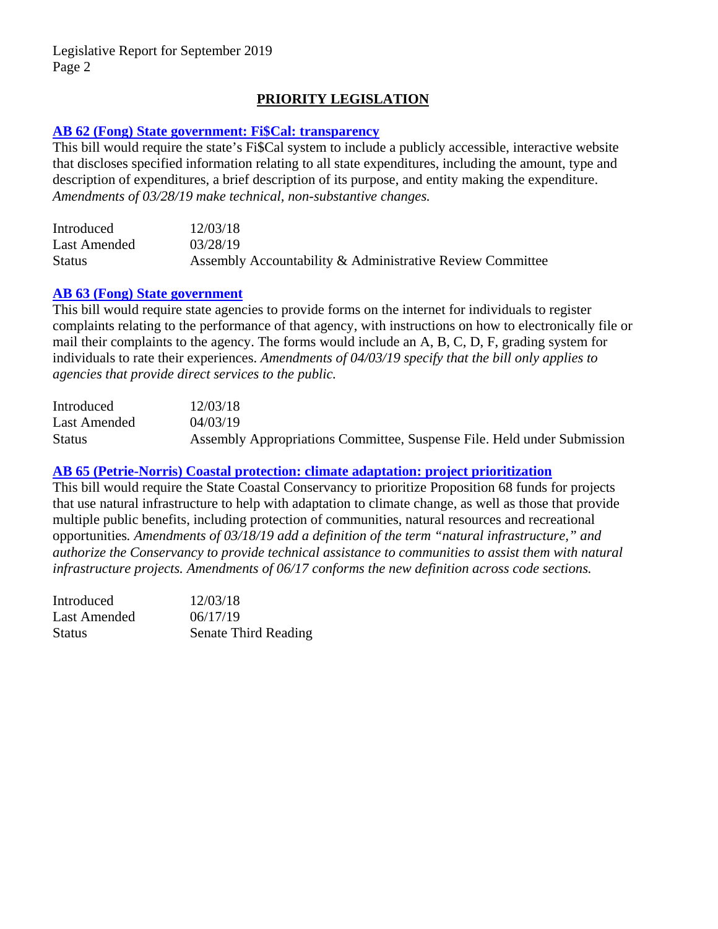# **PRIORITY LEGISLATION**

# **[AB 62 \(Fong\) State government: Fi\\$Cal: transparency](http://leginfo.legislature.ca.gov/faces/billNavClient.xhtml?bill_id=201920200AB62)**

This bill would require the state's Fi\$Cal system to include a publicly accessible, interactive website that discloses specified information relating to all state expenditures, including the amount, type and description of expenditures, a brief description of its purpose, and entity making the expenditure. *Amendments of 03/28/19 make technical, non-substantive changes.*

| Introduced    | 12/03/18                                                  |
|---------------|-----------------------------------------------------------|
| Last Amended  | 03/28/19                                                  |
| <b>Status</b> | Assembly Accountability & Administrative Review Committee |

#### **[AB 63 \(Fong\) State government](http://leginfo.legislature.ca.gov/faces/billNavClient.xhtml?bill_id=201920200AB63)**

This bill would require state agencies to provide forms on the internet for individuals to register complaints relating to the performance of that agency, with instructions on how to electronically file or mail their complaints to the agency. The forms would include an A, B, C, D, F, grading system for individuals to rate their experiences. *Amendments of 04/03/19 specify that the bill only applies to agencies that provide direct services to the public.*

| Introduced    | 12/03/18                                                                |
|---------------|-------------------------------------------------------------------------|
| Last Amended  | 04/03/19                                                                |
| <b>Status</b> | Assembly Appropriations Committee, Suspense File. Held under Submission |

# **[AB 65 \(Petrie-Norris\) Coastal protection: climate adaptation: project prioritization](http://leginfo.legislature.ca.gov/faces/billNavClient.xhtml?bill_id=201920200AB65)**

This bill would require the State Coastal Conservancy to prioritize Proposition 68 funds for projects that use natural infrastructure to help with adaptation to climate change, as well as those that provide multiple public benefits, including protection of communities, natural resources and recreational opportunities*. Amendments of 03/18/19 add a definition of the term "natural infrastructure," and authorize the Conservancy to provide technical assistance to communities to assist them with natural infrastructure projects. Amendments of 06/17 conforms the new definition across code sections.* 

| Introduced   | 12/03/18                    |
|--------------|-----------------------------|
| Last Amended | 06/17/19                    |
| Status       | <b>Senate Third Reading</b> |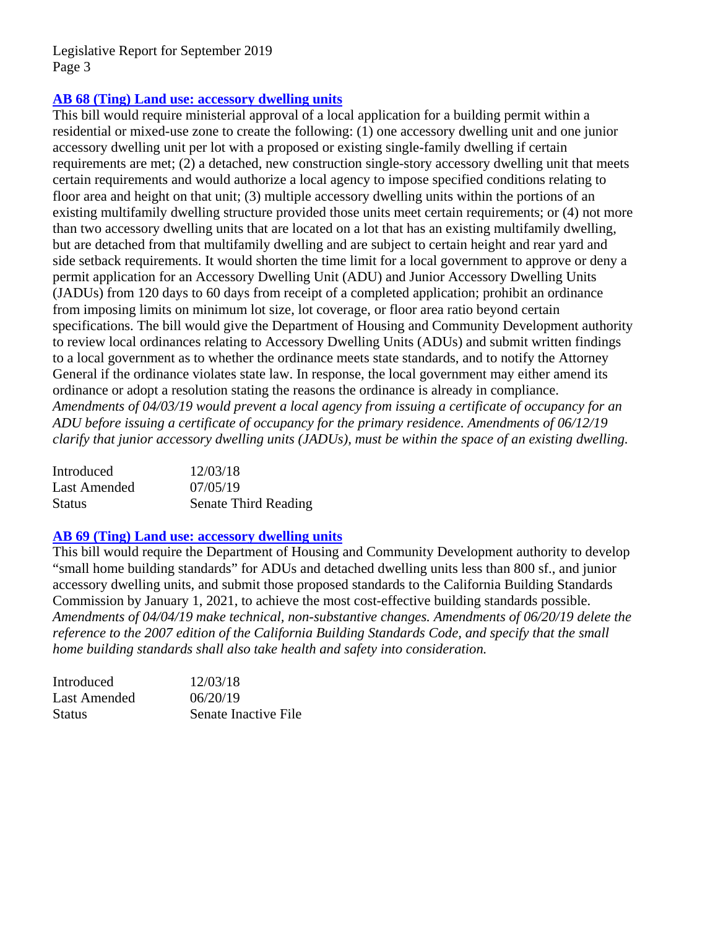# **[AB 68 \(Ting\) Land use: accessory dwelling units](http://leginfo.legislature.ca.gov/faces/billNavClient.xhtml?bill_id=201920200AB68)**

This bill would require ministerial approval of a local application for a building permit within a residential or mixed-use zone to create the following: (1) one accessory dwelling unit and one junior accessory dwelling unit per lot with a proposed or existing single-family dwelling if certain requirements are met; (2) a detached, new construction single-story accessory dwelling unit that meets certain requirements and would authorize a local agency to impose specified conditions relating to floor area and height on that unit; (3) multiple accessory dwelling units within the portions of an existing multifamily dwelling structure provided those units meet certain requirements; or (4) not more than two accessory dwelling units that are located on a lot that has an existing multifamily dwelling, but are detached from that multifamily dwelling and are subject to certain height and rear yard and side setback requirements. It would shorten the time limit for a local government to approve or deny a permit application for an Accessory Dwelling Unit (ADU) and Junior Accessory Dwelling Units (JADUs) from 120 days to 60 days from receipt of a completed application; prohibit an ordinance from imposing limits on minimum lot size, lot coverage, or floor area ratio beyond certain specifications. The bill would give the Department of Housing and Community Development authority to review local ordinances relating to Accessory Dwelling Units (ADUs) and submit written findings to a local government as to whether the ordinance meets state standards, and to notify the Attorney General if the ordinance violates state law. In response, the local government may either amend its ordinance or adopt a resolution stating the reasons the ordinance is already in compliance. *Amendments of 04/03/19 would prevent a local agency from issuing a certificate of occupancy for an ADU before issuing a certificate of occupancy for the primary residence. Amendments of 06/12/19 clarify that junior accessory dwelling units (JADUs), must be within the space of an existing dwelling.*

| Introduced    | 12/03/18                    |
|---------------|-----------------------------|
| Last Amended  | 07/05/19                    |
| <b>Status</b> | <b>Senate Third Reading</b> |

# **[AB 69 \(Ting\) Land use: accessory dwelling units](http://leginfo.legislature.ca.gov/faces/billNavClient.xhtml?bill_id=201920200AB69)**

This bill would require the Department of Housing and Community Development authority to develop "small home building standards" for ADUs and detached dwelling units less than 800 sf., and junior accessory dwelling units, and submit those proposed standards to the California Building Standards Commission by January 1, 2021, to achieve the most cost-effective building standards possible. *Amendments of 04/04/19 make technical, non-substantive changes. Amendments of 06/20/19 delete the reference to the 2007 edition of the California Building Standards Code, and specify that the small home building standards shall also take health and safety into consideration.* 

| Introduced   | 12/03/18             |
|--------------|----------------------|
| Last Amended | 06/20/19             |
| Status       | Senate Inactive File |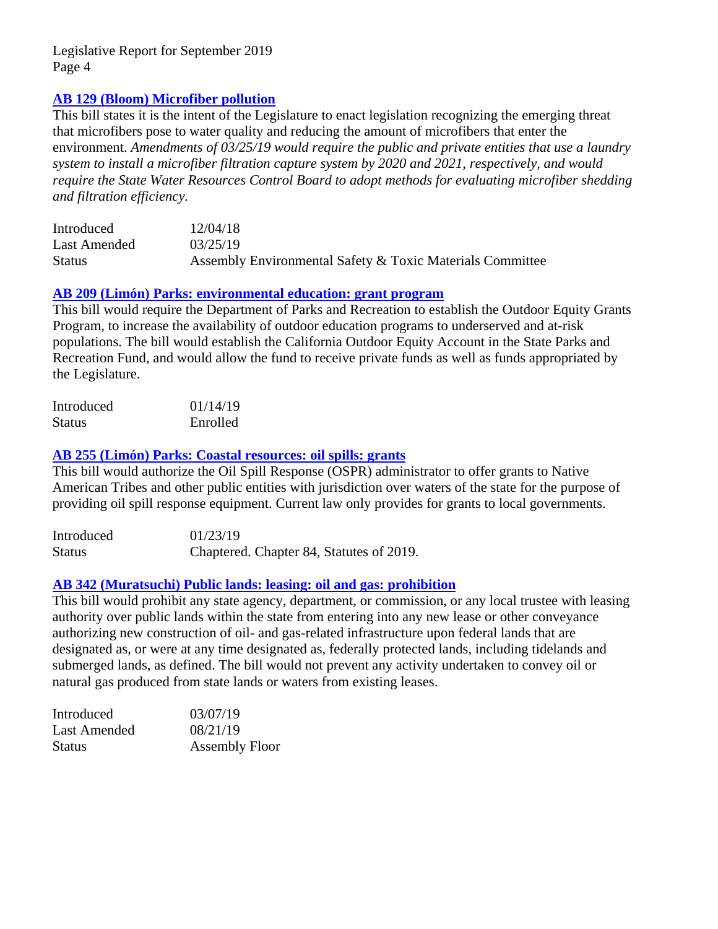# **[AB 129 \(Bloom\) Microfiber pollution](http://leginfo.legislature.ca.gov/faces/billNavClient.xhtml?bill_id=201920200AB129)**

This bill states it is the intent of the Legislature to enact legislation recognizing the emerging threat that microfibers pose to water quality and reducing the amount of microfibers that enter the environment. *Amendments of 03/25/19 would require the public and private entities that use a laundry system to install a microfiber filtration capture system by 2020 and 2021, respectively, and would require the State Water Resources Control Board to adopt methods for evaluating microfiber shedding and filtration efficiency.*

| Introduced    | 12/04/18                                                  |
|---------------|-----------------------------------------------------------|
| Last Amended  | 03/25/19                                                  |
| <b>Status</b> | Assembly Environmental Safety & Toxic Materials Committee |

#### **[AB 209 \(Limón\) Parks: environmental education: grant program](http://leginfo.legislature.ca.gov/faces/billNavClient.xhtml?bill_id=201920200AB209)**

This bill would require the Department of Parks and Recreation to establish the Outdoor Equity Grants Program, to increase the availability of outdoor education programs to underserved and at-risk populations. The bill would establish the California Outdoor Equity Account in the State Parks and Recreation Fund, and would allow the fund to receive private funds as well as funds appropriated by the Legislature.

| Introduced    | 01/14/19 |
|---------------|----------|
| <b>Status</b> | Enrolled |

# **[AB 255 \(Limón\) Parks: Coastal resources: oil spills: grants](http://leginfo.legislature.ca.gov/faces/billNavClient.xhtml?bill_id=201920200AB255)**

This bill would authorize the Oil Spill Response (OSPR) administrator to offer grants to Native American Tribes and other public entities with jurisdiction over waters of the state for the purpose of providing oil spill response equipment. Current law only provides for grants to local governments.

| Introduced    | 01/23/19                                 |
|---------------|------------------------------------------|
| <b>Status</b> | Chaptered. Chapter 84, Statutes of 2019. |

# **[AB 342 \(Muratsuchi\) Public lands: leasing: oil and gas: prohibition](http://leginfo.legislature.ca.gov/faces/billTextClient.xhtml?bill_id=201920200AB342)**

This bill would prohibit any state agency, department, or commission, or any local trustee with leasing authority over public lands within the state from entering into any new lease or other conveyance authorizing new construction of oil- and gas-related infrastructure upon federal lands that are designated as, or were at any time designated as, federally protected lands, including tidelands and submerged lands, as defined. The bill would not prevent any activity undertaken to convey oil or natural gas produced from state lands or waters from existing leases.

| Introduced   | 03/07/19              |
|--------------|-----------------------|
| Last Amended | 08/21/19              |
| Status       | <b>Assembly Floor</b> |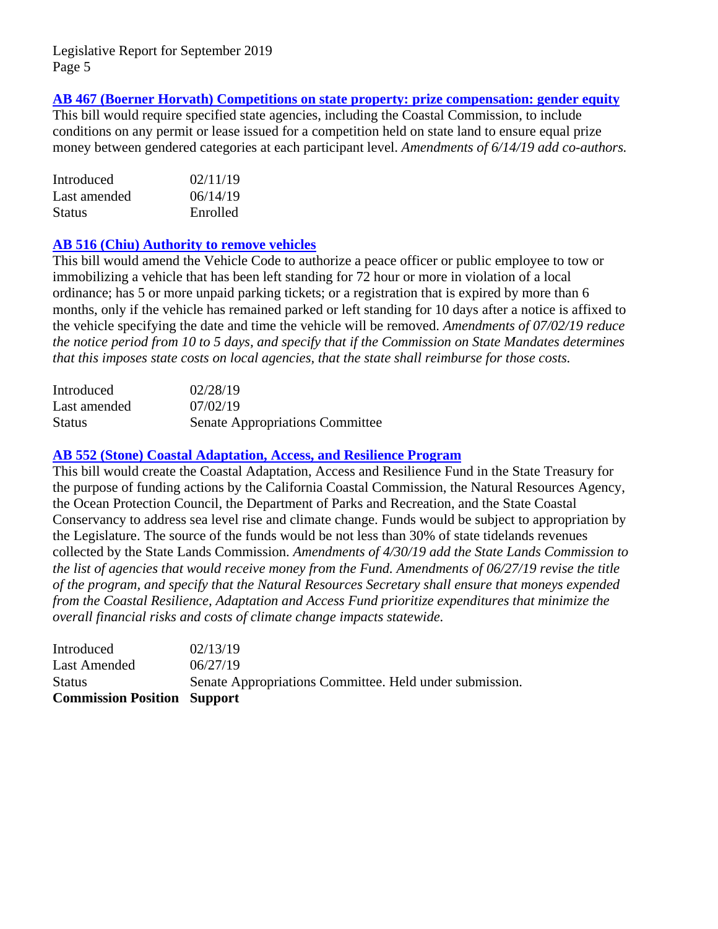# **AB 467 (Boerner [Horvath\) Competitions on state property: prize compensation: gender equity](http://leginfo.legislature.ca.gov/faces/billNavClient.xhtml?bill_id=201920200AB467)**

This bill would require specified state agencies, including the Coastal Commission, to include conditions on any permit or lease issued for a competition held on state land to ensure equal prize money between gendered categories at each participant level. *Amendments of 6/14/19 add co-authors.* 

| Introduced    | 02/11/19 |
|---------------|----------|
| Last amended  | 06/14/19 |
| <b>Status</b> | Enrolled |

#### **[AB 516 \(Chiu\) Authority to remove vehicles](http://leginfo.legislature.ca.gov/faces/billNavClient.xhtml?bill_id=201920200AB516)**

This bill would amend the Vehicle Code to authorize a peace officer or public employee to tow or immobilizing a vehicle that has been left standing for 72 hour or more in violation of a local ordinance; has 5 or more unpaid parking tickets; or a registration that is expired by more than 6 months, only if the vehicle has remained parked or left standing for 10 days after a notice is affixed to the vehicle specifying the date and time the vehicle will be removed. *Amendments of 07/02/19 reduce the notice period from 10 to 5 days, and specify that if the Commission on State Mandates determines that this imposes state costs on local agencies, that the state shall reimburse for those costs.* 

| Introduced    | 02/28/19                               |
|---------------|----------------------------------------|
| Last amended  | 07/02/19                               |
| <b>Status</b> | <b>Senate Appropriations Committee</b> |

# **[AB 552 \(Stone\) Coastal Adaptation, Access, and Resilience Program](http://leginfo.legislature.ca.gov/faces/billNavClient.xhtml?bill_id=201920200AB552)**

This bill would create the Coastal Adaptation, Access and Resilience Fund in the State Treasury for the purpose of funding actions by the California Coastal Commission, the Natural Resources Agency, the Ocean Protection Council, the Department of Parks and Recreation, and the State Coastal Conservancy to address sea level rise and climate change. Funds would be subject to appropriation by the Legislature. The source of the funds would be not less than 30% of state tidelands revenues collected by the State Lands Commission. *Amendments of 4/30/19 add the State Lands Commission to the list of agencies that would receive money from the Fund. Amendments of 06/27/19 revise the title of the program, and specify that the Natural Resources Secretary shall ensure that moneys expended from the Coastal Resilience, Adaptation and Access Fund prioritize expenditures that minimize the overall financial risks and costs of climate change impacts statewide.* 

| Introduced                         | 02/13/19                                                |
|------------------------------------|---------------------------------------------------------|
| Last Amended                       | 06/27/19                                                |
| <b>Status</b>                      | Senate Appropriations Committee. Held under submission. |
| <b>Commission Position Support</b> |                                                         |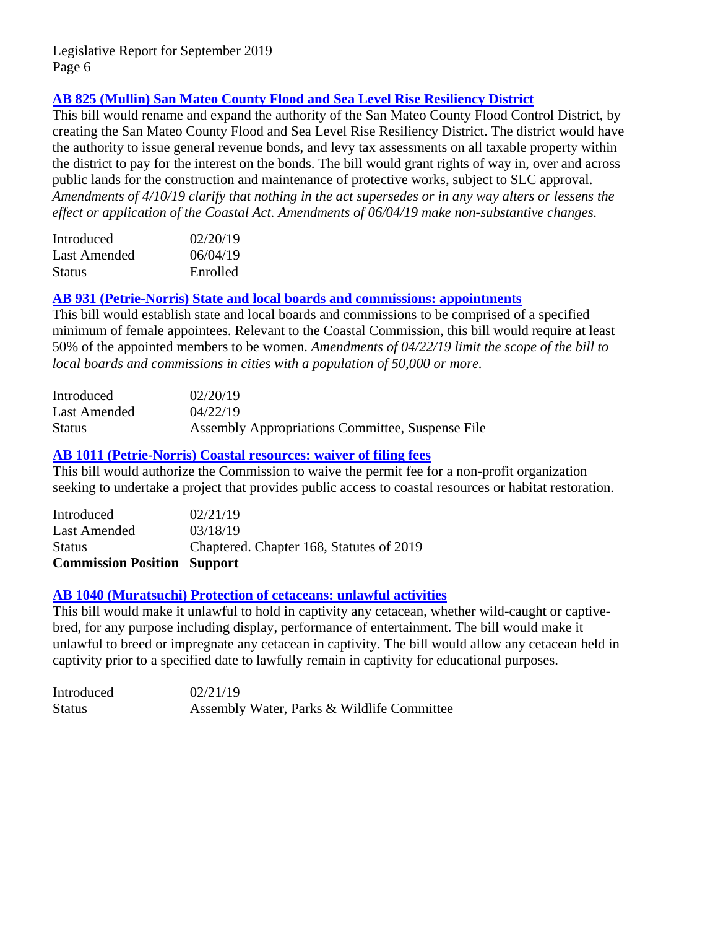# **[AB 825 \(Mullin\) San Mateo County Flood and Sea Level Rise Resiliency District](http://leginfo.legislature.ca.gov/faces/billNavClient.xhtml?bill_id=201920200AB825)**

This bill would rename and expand the authority of the San Mateo County Flood Control District, by creating the San Mateo County Flood and Sea Level Rise Resiliency District. The district would have the authority to issue general revenue bonds, and levy tax assessments on all taxable property within the district to pay for the interest on the bonds. The bill would grant rights of way in, over and across public lands for the construction and maintenance of protective works, subject to SLC approval. *Amendments of 4/10/19 clarify that nothing in the act supersedes or in any way alters or lessens the effect or application of the Coastal Act. Amendments of 06/04/19 make non-substantive changes.*

| Introduced    | 02/20/19 |
|---------------|----------|
| Last Amended  | 06/04/19 |
| <b>Status</b> | Enrolled |

#### **[AB 931 \(Petrie-Norris\) State and local boards and commissions: appointments](http://leginfo.legislature.ca.gov/faces/billNavClient.xhtml?bill_id=201920200AB931)**

This bill would establish state and local boards and commissions to be comprised of a specified minimum of female appointees. Relevant to the Coastal Commission, this bill would require at least 50% of the appointed members to be women. *Amendments of 04/22/19 limit the scope of the bill to local boards and commissions in cities with a population of 50,000 or more.* 

| Introduced    | 02/20/19                                         |
|---------------|--------------------------------------------------|
| Last Amended  | 04/22/19                                         |
| <b>Status</b> | Assembly Appropriations Committee, Suspense File |

# **[AB 1011 \(Petrie-Norris\) Coastal resources: waiver of filing fees](http://leginfo.legislature.ca.gov/faces/billNavClient.xhtml?bill_id=201920200AB1011)**

This bill would authorize the Commission to waive the permit fee for a non-profit organization seeking to undertake a project that provides public access to coastal resources or habitat restoration.

| <b>Commission Position Support</b> |                                          |
|------------------------------------|------------------------------------------|
| <b>Status</b>                      | Chaptered. Chapter 168, Statutes of 2019 |
| Last Amended                       | 03/18/19                                 |
| Introduced                         | 02/21/19                                 |

#### **[AB 1040 \(Muratsuchi\) Protection of cetaceans: unlawful activities](http://leginfo.legislature.ca.gov/faces/billNavClient.xhtml?bill_id=201920200AB1040)**

This bill would make it unlawful to hold in captivity any cetacean, whether wild-caught or captivebred, for any purpose including display, performance of entertainment. The bill would make it unlawful to breed or impregnate any cetacean in captivity. The bill would allow any cetacean held in captivity prior to a specified date to lawfully remain in captivity for educational purposes.

| Introduced | 02/21/19                                   |
|------------|--------------------------------------------|
| Status     | Assembly Water, Parks & Wildlife Committee |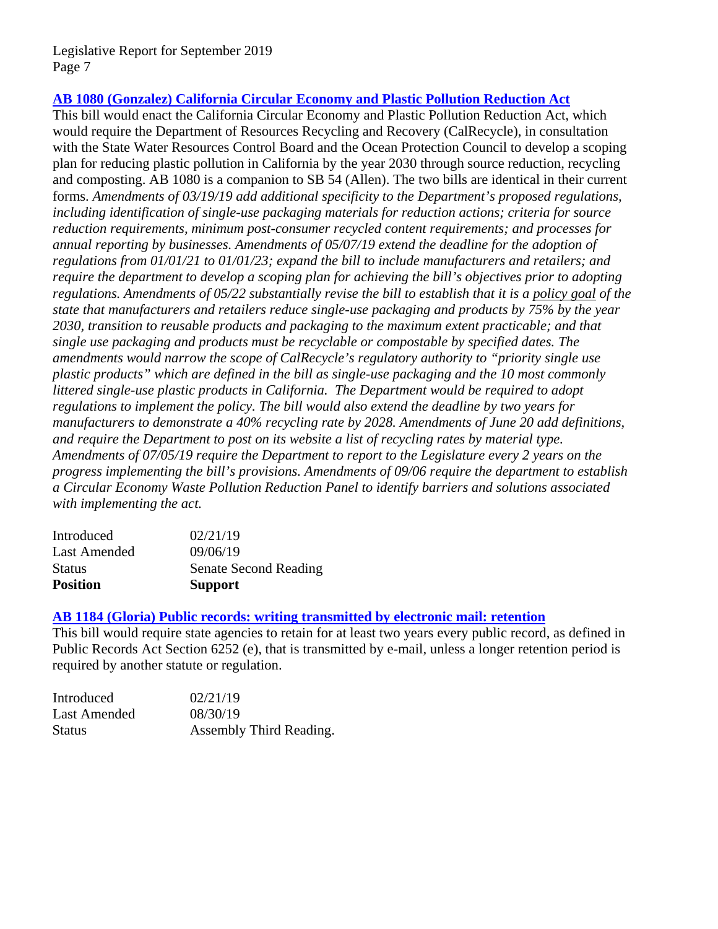# **[AB 1080 \(Gonzalez\) California Circular Economy and Plastic Pollution Reduction Act](http://leginfo.legislature.ca.gov/faces/billNavClient.xhtml?bill_id=201920200AB1080)**

This bill would enact the California Circular Economy and Plastic Pollution Reduction Act, which would require the Department of Resources Recycling and Recovery (CalRecycle), in consultation with the State Water Resources Control Board and the Ocean Protection Council to develop a scoping plan for reducing plastic pollution in California by the year 2030 through source reduction, recycling and composting. AB 1080 is a companion to SB 54 (Allen). The two bills are identical in their current forms. *Amendments of 03/19/19 add additional specificity to the Department's proposed regulations, including identification of single-use packaging materials for reduction actions; criteria for source reduction requirements, minimum post-consumer recycled content requirements; and processes for annual reporting by businesses. Amendments of 05/07/19 extend the deadline for the adoption of regulations from 01/01/21 to 01/01/23; expand the bill to include manufacturers and retailers; and require the department to develop a scoping plan for achieving the bill's objectives prior to adopting regulations. Amendments of 05/22 substantially revise the bill to establish that it is a policy goal of the state that manufacturers and retailers reduce single-use packaging and products by 75% by the year 2030, transition to reusable products and packaging to the maximum extent practicable; and that single use packaging and products must be recyclable or compostable by specified dates. The amendments would narrow the scope of CalRecycle's regulatory authority to "priority single use plastic products" which are defined in the bill as single-use packaging and the 10 most commonly littered single-use plastic products in California. The Department would be required to adopt regulations to implement the policy. The bill would also extend the deadline by two years for manufacturers to demonstrate a 40% recycling rate by 2028. Amendments of June 20 add definitions, and require the Department to post on its website a list of recycling rates by material type. Amendments of 07/05/19 require the Department to report to the Legislature every 2 years on the progress implementing the bill's provisions. Amendments of 09/06 require the department to establish a Circular Economy Waste Pollution Reduction Panel to identify barriers and solutions associated with implementing the act.*

| <b>Position</b> | <b>Support</b>               |
|-----------------|------------------------------|
| <b>Status</b>   | <b>Senate Second Reading</b> |
| Last Amended    | 09/06/19                     |
| Introduced      | 02/21/19                     |

#### **[AB 1184 \(Gloria\) Public records: writing transmitted by electronic mail: retention](http://leginfo.legislature.ca.gov/faces/billNavClient.xhtml?bill_id=201920200AB1184)**

This bill would require state agencies to retain for at least two years every public record, as defined in Public Records Act Section 6252 (e), that is transmitted by e-mail, unless a longer retention period is required by another statute or regulation.

| Introduced   | 02/21/19                |
|--------------|-------------------------|
| Last Amended | 08/30/19                |
| Status       | Assembly Third Reading. |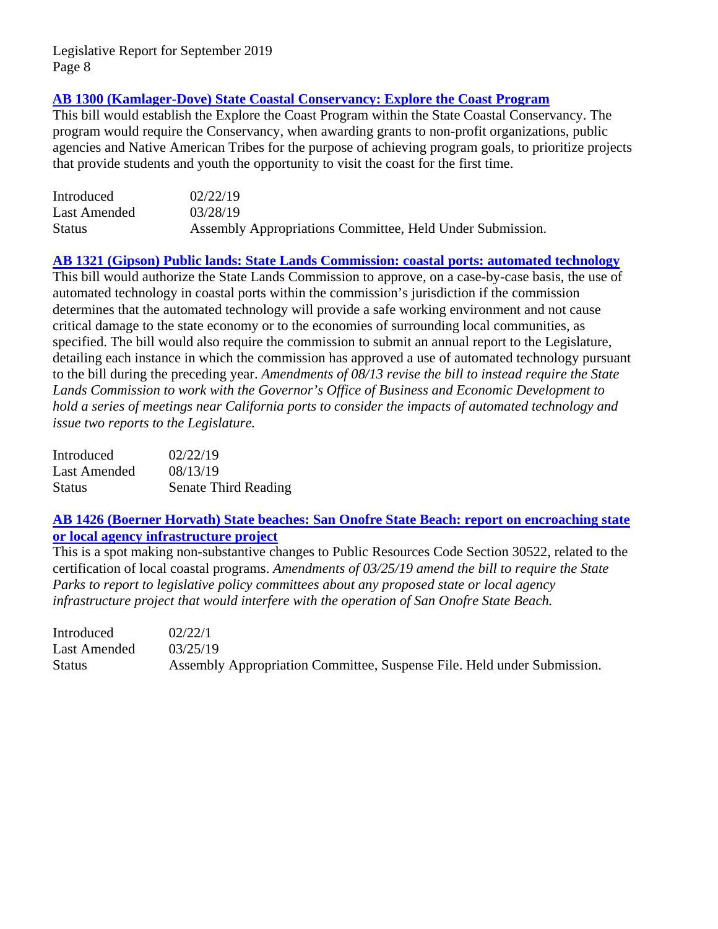# **[AB 1300 \(Kamlager-Dove\) State Coastal Conservancy: Explore the Coast Program](http://leginfo.legislature.ca.gov/faces/billNavClient.xhtml?bill_id=201920200AB1300)**

This bill would establish the Explore the Coast Program within the State Coastal Conservancy. The program would require the Conservancy, when awarding grants to non-profit organizations, public agencies and Native American Tribes for the purpose of achieving program goals, to prioritize projects that provide students and youth the opportunity to visit the coast for the first time.

| Introduced    | 02/22/19                                                  |
|---------------|-----------------------------------------------------------|
| Last Amended  | 03/28/19                                                  |
| <b>Status</b> | Assembly Appropriations Committee, Held Under Submission. |

#### **[AB 1321 \(Gipson\) Public lands: State Lands Commission: coastal ports: automated technology](http://leginfo.legislature.ca.gov/faces/billNavClient.xhtml?bill_id=201920200AB1321)**

This bill would authorize the State Lands Commission to approve, on a case-by-case basis, the use of automated technology in coastal ports within the commission's jurisdiction if the commission determines that the automated technology will provide a safe working environment and not cause critical damage to the state economy or to the economies of surrounding local communities, as specified. The bill would also require the commission to submit an annual report to the Legislature, detailing each instance in which the commission has approved a use of automated technology pursuant to the bill during the preceding year. *Amendments of 08/13 revise the bill to instead require the State Lands Commission to work with the Governor's Office of Business and Economic Development to hold a series of meetings near California ports to consider the impacts of automated technology and issue two reports to the Legislature.* 

| Introduced    | 02/22/19                    |
|---------------|-----------------------------|
| Last Amended  | 08/13/19                    |
| <b>Status</b> | <b>Senate Third Reading</b> |

# **[AB 1426 \(Boerner Horvath\) State beaches: San Onofre State Beach: report on encroaching state](http://leginfo.legislature.ca.gov/faces/billNavClient.xhtml?bill_id=201920200AB1426)  [or local agency infrastructure project](http://leginfo.legislature.ca.gov/faces/billNavClient.xhtml?bill_id=201920200AB1426)**

This is a spot making non-substantive changes to Public Resources Code Section 30522, related to the certification of local coastal programs. *Amendments of 03/25/19 amend the bill to require the State Parks to report to legislative policy committees about any proposed state or local agency infrastructure project that would interfere with the operation of San Onofre State Beach.* 

| Introduced    | 02/22/1                                                                 |
|---------------|-------------------------------------------------------------------------|
| Last Amended  | 03/25/19                                                                |
| <b>Status</b> | Assembly Appropriation Committee, Suspense File. Held under Submission. |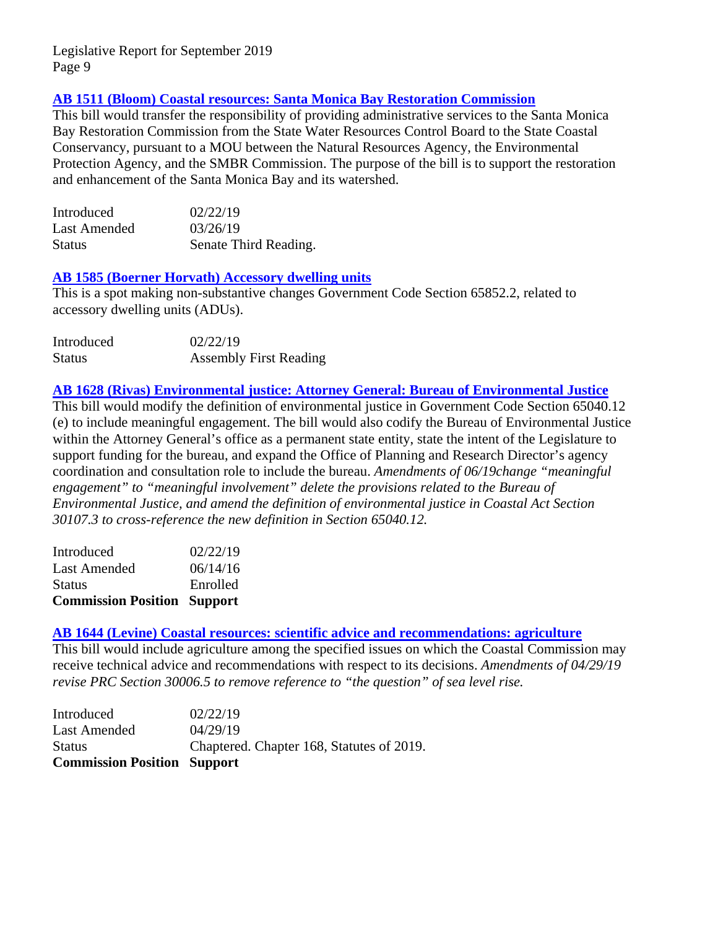# **[AB 1511 \(Bloom\) Coastal resources: Santa Monica Bay Restoration Commission](http://leginfo.legislature.ca.gov/faces/billNavClient.xhtml?bill_id=201920200AB1511)**

This bill would transfer the responsibility of providing administrative services to the Santa Monica Bay Restoration Commission from the State Water Resources Control Board to the State Coastal Conservancy, pursuant to a MOU between the Natural Resources Agency, the Environmental Protection Agency, and the SMBR Commission. The purpose of the bill is to support the restoration and enhancement of the Santa Monica Bay and its watershed.

| Introduced    | 02/22/19              |
|---------------|-----------------------|
| Last Amended  | 03/26/19              |
| <b>Status</b> | Senate Third Reading. |

# **[AB 1585 \(Boerner Horvath\) Accessory dwelling units](http://leginfo.legislature.ca.gov/faces/billNavClient.xhtml?bill_id=201920200AB1585)**

This is a spot making non-substantive changes Government Code Section 65852.2, related to accessory dwelling units (ADUs).

| Introduced    | 02/22/19                      |
|---------------|-------------------------------|
| <b>Status</b> | <b>Assembly First Reading</b> |

#### **AB 1628 (Rivas) Environmental justice: Attorney General: Bureau of Environmental Justice**

This bill would modify the definition of environmental justice in Government Code Section 65040.12 (e) to include meaningful engagement. The bill would also codify the Bureau of Environmental Justice within the Attorney General's office as a permanent state entity, state the intent of the Legislature to support funding for the bureau, and expand the Office of Planning and Research Director's agency coordination and consultation role to include the bureau. *Amendments of 06/19change "meaningful engagement" to "meaningful involvement" delete the provisions related to the Bureau of Environmental Justice, and amend the definition of environmental justice in Coastal Act Section 30107.3 to cross-reference the new definition in Section 65040.12.*

| <b>Commission Position Support</b> |          |
|------------------------------------|----------|
| <b>Status</b>                      | Enrolled |
| Last Amended                       | 06/14/16 |
| Introduced                         | 02/22/19 |

#### **[AB 1644 \(Levine\) Coastal resources: scientific advice and recommendations: agriculture](http://leginfo.legislature.ca.gov/faces/billNavClient.xhtml?bill_id=201920200AB1644)**

This bill would include agriculture among the specified issues on which the Coastal Commission may receive technical advice and recommendations with respect to its decisions. *Amendments of 04/29/19 revise PRC Section 30006.5 to remove reference to "the question" of sea level rise.* 

| <b>Commission Position Support</b> |                                           |
|------------------------------------|-------------------------------------------|
| <b>Status</b>                      | Chaptered. Chapter 168, Statutes of 2019. |
| Last Amended                       | 04/29/19                                  |
| Introduced                         | 02/22/19                                  |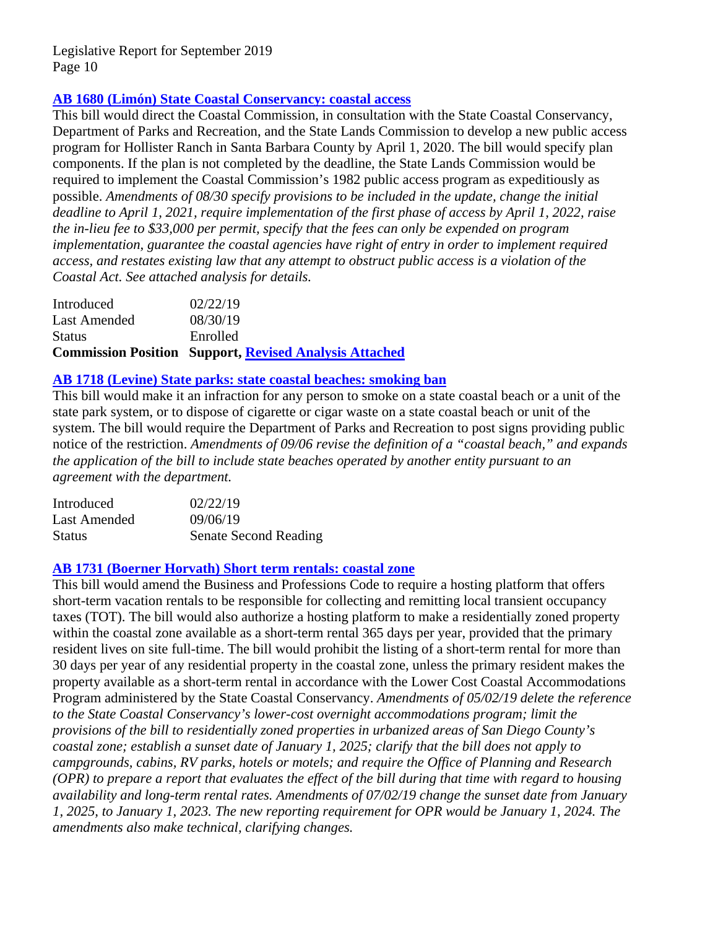# **[AB 1680 \(Limón\) State Coastal Conservancy: coastal access](http://leginfo.legislature.ca.gov/faces/billNavClient.xhtml?bill_id=201920200AB1680)**

This bill would direct the Coastal Commission, in consultation with the State Coastal Conservancy, Department of Parks and Recreation, and the State Lands Commission to develop a new public access program for Hollister Ranch in Santa Barbara County by April 1, 2020. The bill would specify plan components. If the plan is not completed by the deadline, the State Lands Commission would be required to implement the Coastal Commission's 1982 public access program as expeditiously as possible. *Amendments of 08/30 specify provisions to be included in the update, change the initial deadline to April 1, 2021, require implementation of the first phase of access by April 1, 2022, raise the in-lieu fee to \$33,000 per permit, specify that the fees can only be expended on program implementation, guarantee the coastal agencies have right of entry in order to implement required access, and restates existing law that any attempt to obstruct public access is a violation of the Coastal Act. See attached analysis for details.*

|               | <b>Commission Position Support, Revised Analysis Attached</b> |
|---------------|---------------------------------------------------------------|
| <b>Status</b> | Enrolled                                                      |
| Last Amended  | 08/30/19                                                      |
| Introduced    | 02/22/19                                                      |

# **[AB 1718 \(Levine\) State parks: state coastal beaches: smoking ban](http://leginfo.legislature.ca.gov/faces/billNavClient.xhtml?bill_id=201920200AB1718)**

This bill would make it an infraction for any person to smoke on a state coastal beach or a unit of the state park system, or to dispose of cigarette or cigar waste on a state coastal beach or unit of the system. The bill would require the Department of Parks and Recreation to post signs providing public notice of the restriction. *Amendments of 09/06 revise the definition of a "coastal beach," and expands the application of the bill to include state beaches operated by another entity pursuant to an agreement with the department.*

| Introduced    | 02/22/19              |
|---------------|-----------------------|
| Last Amended  | 09/06/19              |
| <b>Status</b> | Senate Second Reading |

# **[AB 1731 \(Boerner Horvath\) Short term rentals: coastal zone](http://leginfo.legislature.ca.gov/faces/billNavClient.xhtml?bill_id=201920200AB1731)**

This bill would amend the Business and Professions Code to require a hosting platform that offers short-term vacation rentals to be responsible for collecting and remitting local transient occupancy taxes (TOT). The bill would also authorize a hosting platform to make a residentially zoned property within the coastal zone available as a short-term rental 365 days per year, provided that the primary resident lives on site full-time. The bill would prohibit the listing of a short-term rental for more than 30 days per year of any residential property in the coastal zone, unless the primary resident makes the property available as a short-term rental in accordance with the Lower Cost Coastal Accommodations Program administered by the State Coastal Conservancy. *Amendments of 05/02/19 delete the reference to the State Coastal Conservancy's lower-cost overnight accommodations program; limit the provisions of the bill to residentially zoned properties in urbanized areas of San Diego County's coastal zone; establish a sunset date of January 1, 2025; clarify that the bill does not apply to campgrounds, cabins, RV parks, hotels or motels; and require the Office of Planning and Research (OPR) to prepare a report that evaluates the effect of the bill during that time with regard to housing availability and long-term rental rates. Amendments of 07/02/19 change the sunset date from January 1, 2025, to January 1, 2023. The new reporting requirement for OPR would be January 1, 2024. The amendments also make technical, clarifying changes.*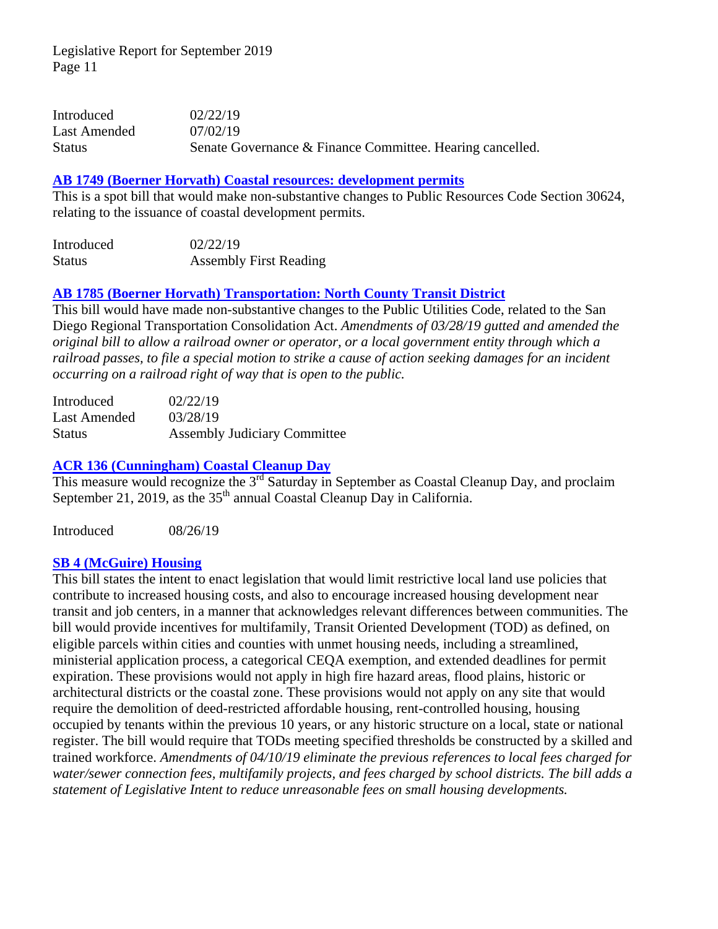| Introduced    | 02/22/19                                                  |
|---------------|-----------------------------------------------------------|
| Last Amended  | 07/02/19                                                  |
| <b>Status</b> | Senate Governance & Finance Committee. Hearing cancelled. |

#### **[AB 1749 \(Boerner Horvath\) Coastal resources: development permits](http://leginfo.legislature.ca.gov/faces/billNavClient.xhtml?bill_id=201920200AB1749)**

This is a spot bill that would make non-substantive changes to Public Resources Code Section 30624, relating to the issuance of coastal development permits.

| Introduced    | 02/22/19                      |
|---------------|-------------------------------|
| <b>Status</b> | <b>Assembly First Reading</b> |

# **[AB 1785 \(Boerner Horvath\) Transportation: North County Transit District](http://leginfo.legislature.ca.gov/faces/billNavClient.xhtml?bill_id=201920200AB1785)**

This bill would have made non-substantive changes to the Public Utilities Code, related to the San Diego Regional Transportation Consolidation Act. *Amendments of 03/28/19 gutted and amended the original bill to allow a railroad owner or operator, or a local government entity through which a railroad passes, to file a special motion to strike a cause of action seeking damages for an incident occurring on a railroad right of way that is open to the public.* 

| Introduced    | 02/22/19                            |
|---------------|-------------------------------------|
| Last Amended  | 03/28/19                            |
| <b>Status</b> | <b>Assembly Judiciary Committee</b> |

# **[ACR 136 \(Cunningham\)](http://leginfo.legislature.ca.gov/faces/billTextClient.xhtml?bill_id=201920200ACR136) Coastal Cleanup Day**

This measure would recognize the 3<sup>rd</sup> Saturday in September as Coastal Cleanup Day, and proclaim September 21, 2019, as the  $35<sup>th</sup>$  annual Coastal Cleanup Day in California.

Introduced 08/26/19

#### **[SB 4 \(McGuire\) Housing](http://leginfo.legislature.ca.gov/faces/billNavClient.xhtml?bill_id=201920200SB4)**

This bill states the intent to enact legislation that would limit restrictive local land use policies that contribute to increased housing costs, and also to encourage increased housing development near transit and job centers, in a manner that acknowledges relevant differences between communities. The bill would provide incentives for multifamily, Transit Oriented Development (TOD) as defined, on eligible parcels within cities and counties with unmet housing needs, including a streamlined, ministerial application process, a categorical CEQA exemption, and extended deadlines for permit expiration. These provisions would not apply in high fire hazard areas, flood plains, historic or architectural districts or the coastal zone. These provisions would not apply on any site that would require the demolition of deed-restricted affordable housing, rent-controlled housing, housing occupied by tenants within the previous 10 years, or any historic structure on a local, state or national register. The bill would require that TODs meeting specified thresholds be constructed by a skilled and trained workforce. *Amendments of 04/10/19 eliminate the previous references to local fees charged for water/sewer connection fees, multifamily projects, and fees charged by school districts. The bill adds a statement of Legislative Intent to reduce unreasonable fees on small housing developments.*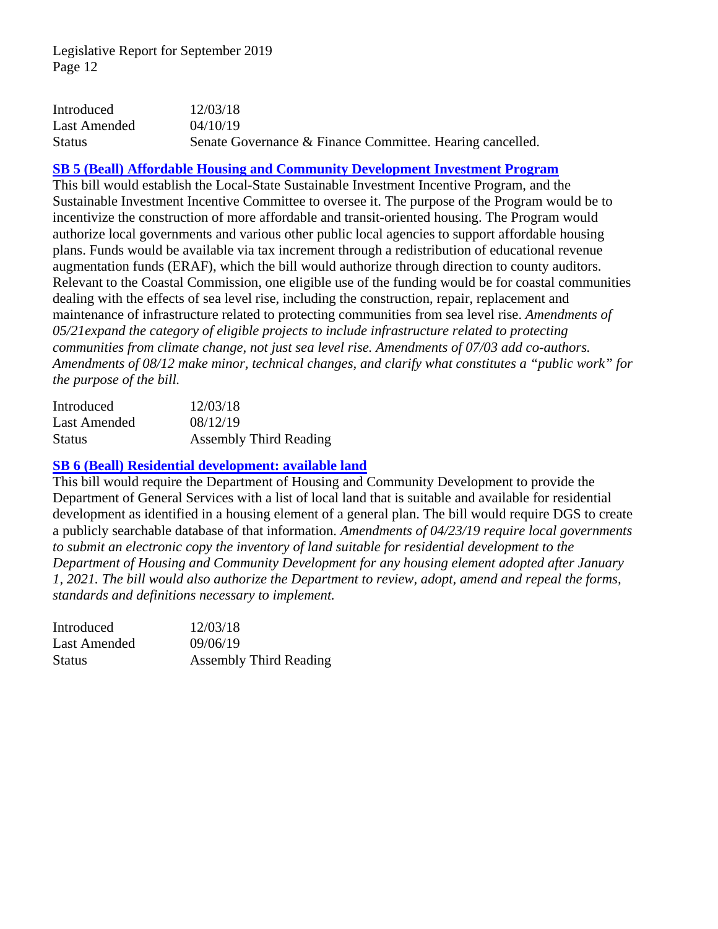| Introduced    | 12/03/18                                                  |
|---------------|-----------------------------------------------------------|
| Last Amended  | 04/10/19                                                  |
| <b>Status</b> | Senate Governance & Finance Committee. Hearing cancelled. |

#### **[SB 5 \(Beall\) Affordable Housing and Community Development Investment Program](http://leginfo.legislature.ca.gov/faces/billNavClient.xhtml?bill_id=201920200SB5)**

This bill would establish the Local-State Sustainable Investment Incentive Program, and the Sustainable Investment Incentive Committee to oversee it. The purpose of the Program would be to incentivize the construction of more affordable and transit-oriented housing. The Program would authorize local governments and various other public local agencies to support affordable housing plans. Funds would be available via tax increment through a redistribution of educational revenue augmentation funds (ERAF), which the bill would authorize through direction to county auditors. Relevant to the Coastal Commission, one eligible use of the funding would be for coastal communities dealing with the effects of sea level rise, including the construction, repair, replacement and maintenance of infrastructure related to protecting communities from sea level rise. *Amendments of 05/21expand the category of eligible projects to include infrastructure related to protecting communities from climate change, not just sea level rise. Amendments of 07/03 add co-authors. Amendments of 08/12 make minor, technical changes, and clarify what constitutes a "public work" for the purpose of the bill.*

| Introduced    | 12/03/18                      |
|---------------|-------------------------------|
| Last Amended  | 08/12/19                      |
| <b>Status</b> | <b>Assembly Third Reading</b> |

#### **[SB 6 \(Beall\) Residential development: available land](http://leginfo.legislature.ca.gov/faces/billNavClient.xhtml?bill_id=201920200SB6)**

This bill would require the Department of Housing and Community Development to provide the Department of General Services with a list of local land that is suitable and available for residential development as identified in a housing element of a general plan. The bill would require DGS to create a publicly searchable database of that information. *Amendments of 04/23/19 require local governments to submit an electronic copy the inventory of land suitable for residential development to the Department of Housing and Community Development for any housing element adopted after January 1, 2021. The bill would also authorize the Department to review, adopt, amend and repeal the forms, standards and definitions necessary to implement.*

| Introduced    | 12/03/18                      |
|---------------|-------------------------------|
| Last Amended  | 09/06/19                      |
| <b>Status</b> | <b>Assembly Third Reading</b> |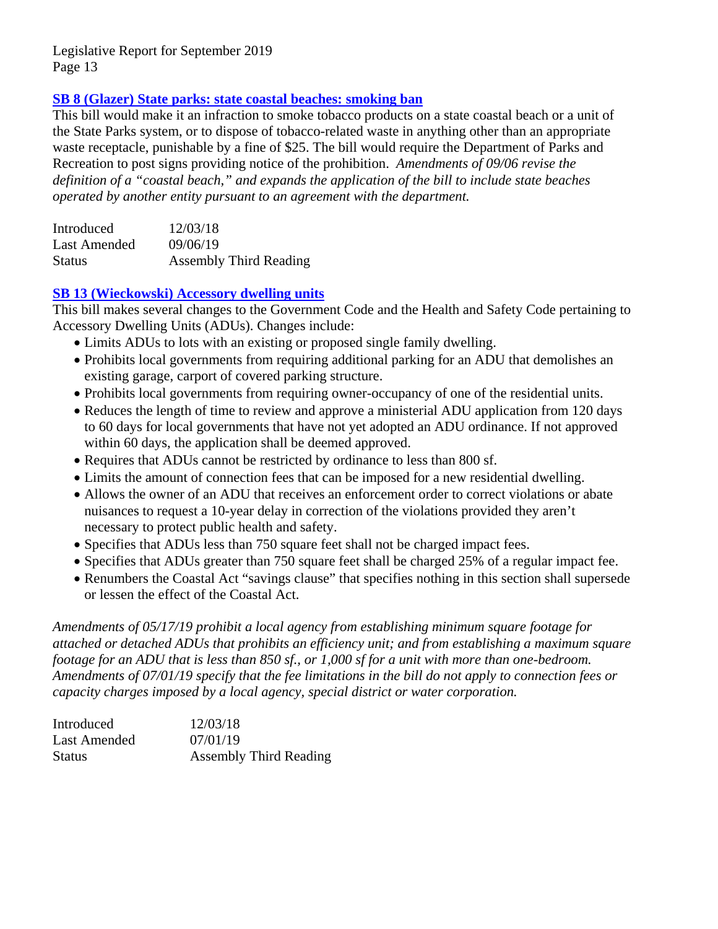# **SB 8 (Glazer) State parks: [state coastal beaches: smoking ban](http://leginfo.legislature.ca.gov/faces/billNavClient.xhtml?bill_id=201920200SB8)**

This bill would make it an infraction to smoke tobacco products on a state coastal beach or a unit of the State Parks system, or to dispose of tobacco-related waste in anything other than an appropriate waste receptacle, punishable by a fine of \$25. The bill would require the Department of Parks and Recreation to post signs providing notice of the prohibition. *Amendments of 09/06 revise the definition of a "coastal beach," and expands the application of the bill to include state beaches operated by another entity pursuant to an agreement with the department.*

| Introduced          | 12/03/18                      |
|---------------------|-------------------------------|
| <b>Last Amended</b> | 09/06/19                      |
| <b>Status</b>       | <b>Assembly Third Reading</b> |

# **[SB 13 \(Wieckowski\) Accessory dwelling units](http://leginfo.legislature.ca.gov/faces/billNavClient.xhtml?bill_id=201920200SB13)**

This bill makes several changes to the Government Code and the Health and Safety Code pertaining to Accessory Dwelling Units (ADUs). Changes include:

- Limits ADUs to lots with an existing or proposed single family dwelling.
- Prohibits local governments from requiring additional parking for an ADU that demolishes an existing garage, carport of covered parking structure.
- Prohibits local governments from requiring owner-occupancy of one of the residential units.
- Reduces the length of time to review and approve a ministerial ADU application from 120 days to 60 days for local governments that have not yet adopted an ADU ordinance. If not approved within 60 days, the application shall be deemed approved.
- Requires that ADUs cannot be restricted by ordinance to less than 800 sf.
- Limits the amount of connection fees that can be imposed for a new residential dwelling.
- Allows the owner of an ADU that receives an enforcement order to correct violations or abate nuisances to request a 10-year delay in correction of the violations provided they aren't necessary to protect public health and safety.
- Specifies that ADUs less than 750 square feet shall not be charged impact fees.
- Specifies that ADUs greater than 750 square feet shall be charged 25% of a regular impact fee.
- Renumbers the Coastal Act "savings clause" that specifies nothing in this section shall supersede or lessen the effect of the Coastal Act.

*Amendments of 05/17/19 prohibit a local agency from establishing minimum square footage for attached or detached ADUs that prohibits an efficiency unit; and from establishing a maximum square footage for an ADU that is less than 850 sf., or 1,000 sf for a unit with more than one-bedroom. Amendments of 07/01/19 specify that the fee limitations in the bill do not apply to connection fees or capacity charges imposed by a local agency, special district or water corporation.*

| Introduced    | 12/03/18                      |
|---------------|-------------------------------|
| Last Amended  | 07/01/19                      |
| <b>Status</b> | <b>Assembly Third Reading</b> |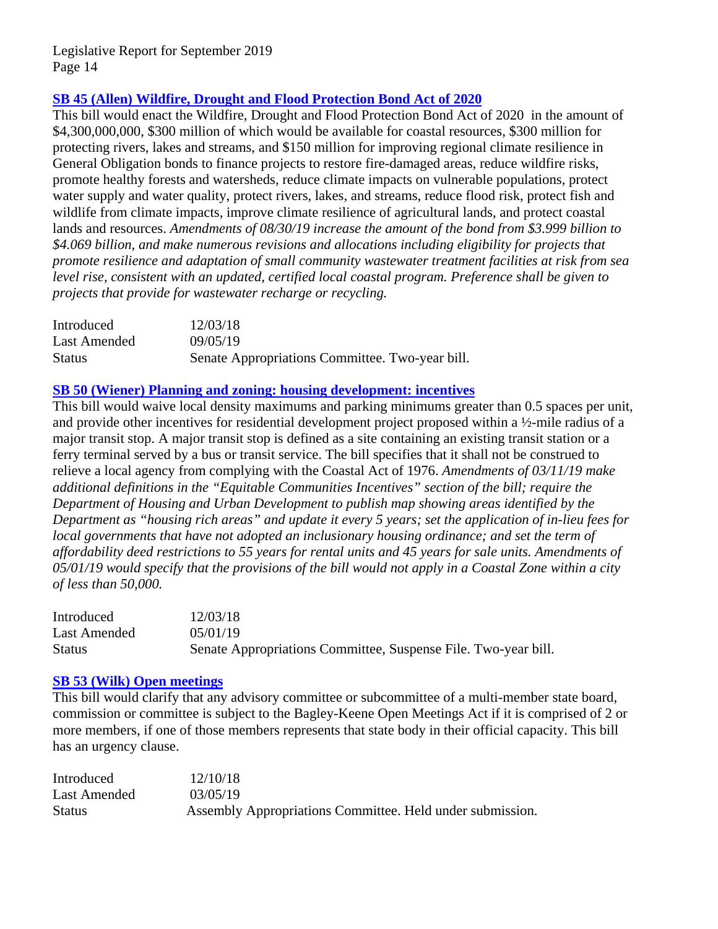# **[SB 45 \(Allen\) Wildfire, Drought and Flood Protection Bond Act of 2020](http://leginfo.legislature.ca.gov/faces/billNavClient.xhtml?bill_id=201920200SB45)**

This bill would enact the Wildfire, Drought and Flood Protection Bond Act of 2020 in the amount of \$4,300,000,000, \$300 million of which would be available for coastal resources, \$300 million for protecting rivers, lakes and streams, and \$150 million for improving regional climate resilience in General Obligation bonds to finance projects to restore fire-damaged areas, reduce wildfire risks, promote healthy forests and watersheds, reduce climate impacts on vulnerable populations, protect water supply and water quality, protect rivers, lakes, and streams, reduce flood risk, protect fish and wildlife from climate impacts, improve climate resilience of agricultural lands, and protect coastal lands and resources. *Amendments of 08/30/19 increase the amount of the bond from \$3.999 billion to \$4.069 billion, and make numerous revisions and allocations including eligibility for projects that promote resilience and adaptation of small community wastewater treatment facilities at risk from sea level rise, consistent with an updated, certified local coastal program. Preference shall be given to projects that provide for wastewater recharge or recycling.*

| Introduced    | 12/03/18                                        |
|---------------|-------------------------------------------------|
| Last Amended  | 09/05/19                                        |
| <b>Status</b> | Senate Appropriations Committee. Two-year bill. |

# **[SB 50 \(Wiener\) Planning and zoning: housing development: incentives](http://leginfo.legislature.ca.gov/faces/billNavClient.xhtml?bill_id=201920200SB50)**

This bill would waive local density maximums and parking minimums greater than 0.5 spaces per unit, and provide other incentives for residential development project proposed within a ½-mile radius of a major transit stop. A major transit stop is defined as a site containing an existing transit station or a ferry terminal served by a bus or transit service. The bill specifies that it shall not be construed to relieve a local agency from complying with the Coastal Act of 1976. *Amendments of 03/11/19 make additional definitions in the "Equitable Communities Incentives" section of the bill; require the Department of Housing and Urban Development to publish map showing areas identified by the Department as "housing rich areas" and update it every 5 years; set the application of in-lieu fees for local governments that have not adopted an inclusionary housing ordinance; and set the term of affordability deed restrictions to 55 years for rental units and 45 years for sale units. Amendments of 05/01/19 would specify that the provisions of the bill would not apply in a Coastal Zone within a city of less than 50,000.* 

| Introduced    | 12/03/18                                                       |
|---------------|----------------------------------------------------------------|
| Last Amended  | 05/01/19                                                       |
| <b>Status</b> | Senate Appropriations Committee, Suspense File. Two-year bill. |

#### **[SB 53 \(Wilk\) Open meetings](http://leginfo.legislature.ca.gov/faces/billNavClient.xhtml?bill_id=201920200SB53)**

This bill would clarify that any advisory committee or subcommittee of a multi-member state board, commission or committee is subject to the Bagley-Keene Open Meetings Act if it is comprised of 2 or more members, if one of those members represents that state body in their official capacity. This bill has an urgency clause.

| Introduced    | 12/10/18                                                  |
|---------------|-----------------------------------------------------------|
| Last Amended  | 03/05/19                                                  |
| <b>Status</b> | Assembly Appropriations Committee. Held under submission. |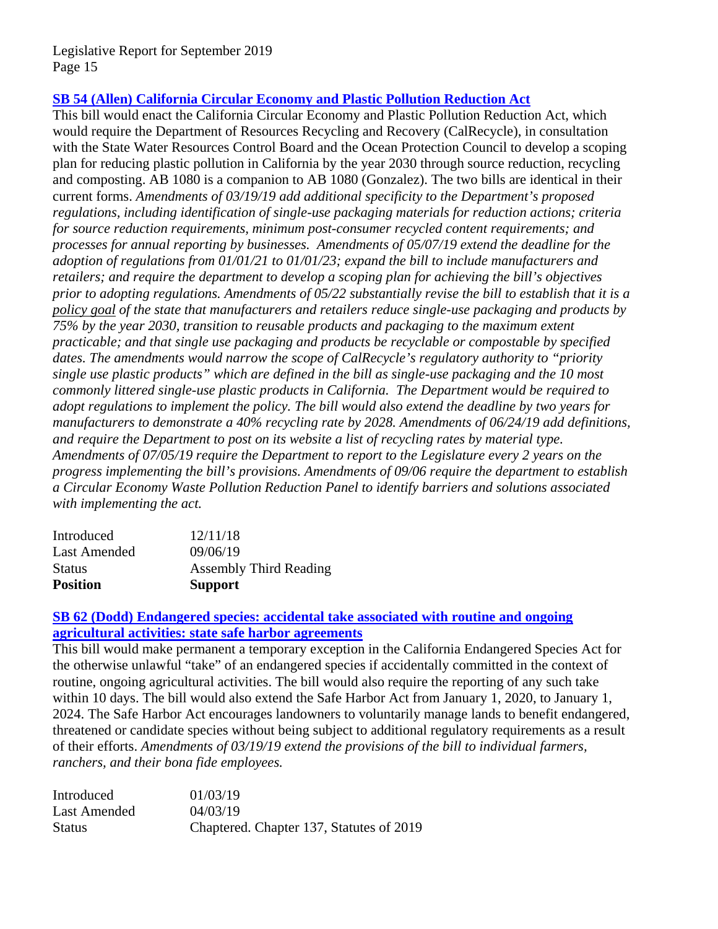# **SB 54 (Allen) [California Circular Economy and Plastic Pollution Reduction Act](http://leginfo.legislature.ca.gov/faces/billNavClient.xhtml?bill_id=201920200SB54)**

This bill would enact the California Circular Economy and Plastic Pollution Reduction Act, which would require the Department of Resources Recycling and Recovery (CalRecycle), in consultation with the State Water Resources Control Board and the Ocean Protection Council to develop a scoping plan for reducing plastic pollution in California by the year 2030 through source reduction, recycling and composting. AB 1080 is a companion to AB 1080 (Gonzalez). The two bills are identical in their current forms. *Amendments of 03/19/19 add additional specificity to the Department's proposed regulations, including identification of single-use packaging materials for reduction actions; criteria for source reduction requirements, minimum post-consumer recycled content requirements; and processes for annual reporting by businesses. Amendments of 05/07/19 extend the deadline for the adoption of regulations from 01/01/21 to 01/01/23; expand the bill to include manufacturers and retailers; and require the department to develop a scoping plan for achieving the bill's objectives prior to adopting regulations. Amendments of 05/22 substantially revise the bill to establish that it is a policy goal of the state that manufacturers and retailers reduce single-use packaging and products by 75% by the year 2030, transition to reusable products and packaging to the maximum extent practicable; and that single use packaging and products be recyclable or compostable by specified dates. The amendments would narrow the scope of CalRecycle's regulatory authority to "priority single use plastic products" which are defined in the bill as single-use packaging and the 10 most commonly littered single-use plastic products in California. The Department would be required to adopt regulations to implement the policy. The bill would also extend the deadline by two years for manufacturers to demonstrate a 40% recycling rate by 2028. Amendments of 06/24/19 add definitions, and require the Department to post on its website a list of recycling rates by material type. Amendments of 07/05/19 require the Department to report to the Legislature every 2 years on the progress implementing the bill's provisions. Amendments of 09/06 require the department to establish a Circular Economy Waste Pollution Reduction Panel to identify barriers and solutions associated with implementing the act.* 

| <b>Position</b> | <b>Support</b>                |
|-----------------|-------------------------------|
| <b>Status</b>   | <b>Assembly Third Reading</b> |
| Last Amended    | 09/06/19                      |
| Introduced      | 12/11/18                      |

# **SB [62 \(Dodd\) Endangered species: accidental take](http://leginfo.legislature.ca.gov/faces/billNavClient.xhtml?bill_id=201920200SB62) associated with routine and ongoing [agricultural activities: state safe harbor agreements](http://leginfo.legislature.ca.gov/faces/billNavClient.xhtml?bill_id=201920200SB62)**

This bill would make permanent a temporary exception in the California Endangered Species Act for the otherwise unlawful "take" of an endangered species if accidentally committed in the context of routine, ongoing agricultural activities. The bill would also require the reporting of any such take within 10 days. The bill would also extend the Safe Harbor Act from January 1, 2020, to January 1, 2024. The Safe Harbor Act encourages landowners to voluntarily manage lands to benefit endangered, threatened or candidate species without being subject to additional regulatory requirements as a result of their efforts. *Amendments of 03/19/19 extend the provisions of the bill to individual farmers, ranchers, and their bona fide employees.* 

| Introduced    | 01/03/19                                 |
|---------------|------------------------------------------|
| Last Amended  | 04/03/19                                 |
| <b>Status</b> | Chaptered. Chapter 137, Statutes of 2019 |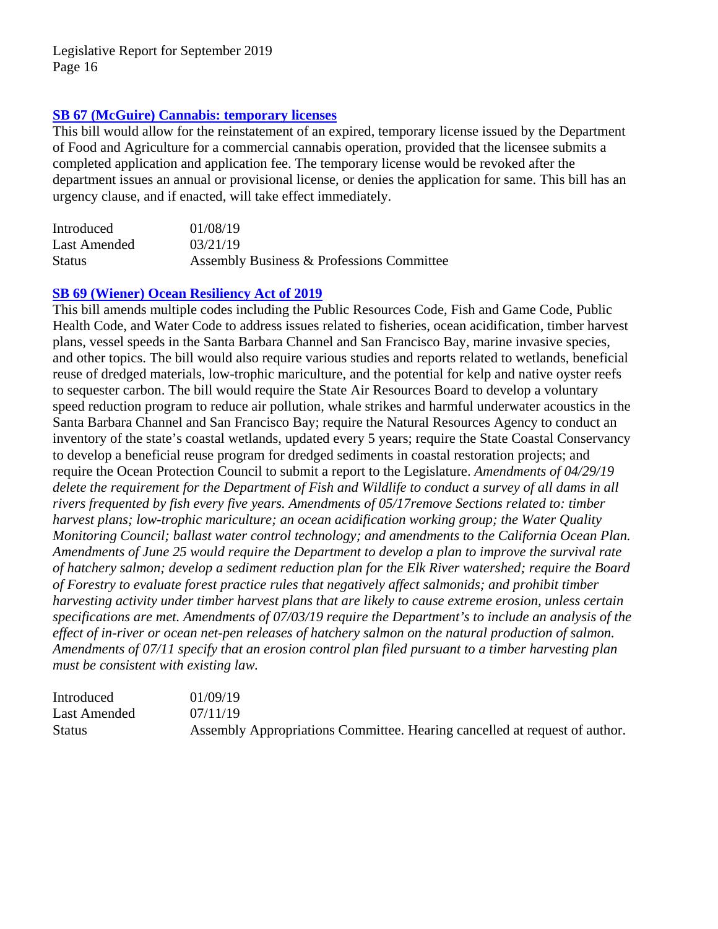# **[SB 67 \(McGuire\) Cannabis: temporary licenses](http://leginfo.legislature.ca.gov/faces/billNavClient.xhtml?bill_id=201920200SB67)**

This bill would allow for the reinstatement of an expired, temporary license issued by the Department of Food and Agriculture for a commercial cannabis operation, provided that the licensee submits a completed application and application fee. The temporary license would be revoked after the department issues an annual or provisional license, or denies the application for same. This bill has an urgency clause, and if enacted, will take effect immediately.

| Introduced    | 01/08/19                                  |
|---------------|-------------------------------------------|
| Last Amended  | 03/21/19                                  |
| <b>Status</b> | Assembly Business & Professions Committee |

#### **[SB 69 \(Wiener\) Ocean Resiliency Act of 2019](http://leginfo.legislature.ca.gov/faces/billTextClient.xhtml?bill_id=201920200SB69)**

This bill amends multiple codes including the Public Resources Code, Fish and Game Code, Public Health Code, and Water Code to address issues related to fisheries, ocean acidification, timber harvest plans, vessel speeds in the Santa Barbara Channel and San Francisco Bay, marine invasive species, and other topics. The bill would also require various studies and reports related to wetlands, beneficial reuse of dredged materials, low-trophic mariculture, and the potential for kelp and native oyster reefs to sequester carbon. The bill would require the State Air Resources Board to develop a voluntary speed reduction program to reduce air pollution, whale strikes and harmful underwater acoustics in the Santa Barbara Channel and San Francisco Bay; require the Natural Resources Agency to conduct an inventory of the state's coastal wetlands, updated every 5 years; require the State Coastal Conservancy to develop a beneficial reuse program for dredged sediments in coastal restoration projects; and require the Ocean Protection Council to submit a report to the Legislature. *Amendments of 04/29/19 delete the requirement for the Department of Fish and Wildlife to conduct a survey of all dams in all rivers frequented by fish every five years. Amendments of 05/17remove Sections related to: timber harvest plans; low-trophic mariculture; an ocean acidification working group; the Water Quality Monitoring Council; ballast water control technology; and amendments to the California Ocean Plan. Amendments of June 25 would require the Department to develop a plan to improve the survival rate of hatchery salmon; develop a sediment reduction plan for the Elk River watershed; require the Board of Forestry to evaluate forest practice rules that negatively affect salmonids; and prohibit timber harvesting activity under timber harvest plans that are likely to cause extreme erosion, unless certain specifications are met. Amendments of 07/03/19 require the Department's to include an analysis of the effect of in-river or ocean net-pen releases of hatchery salmon on the natural production of salmon. Amendments of 07/11 specify that an erosion control plan filed pursuant to a timber harvesting plan must be consistent with existing law.*

| Introduced    | 01/09/19                                                                   |
|---------------|----------------------------------------------------------------------------|
| Last Amended  | 07/11/19                                                                   |
| <b>Status</b> | Assembly Appropriations Committee. Hearing cancelled at request of author. |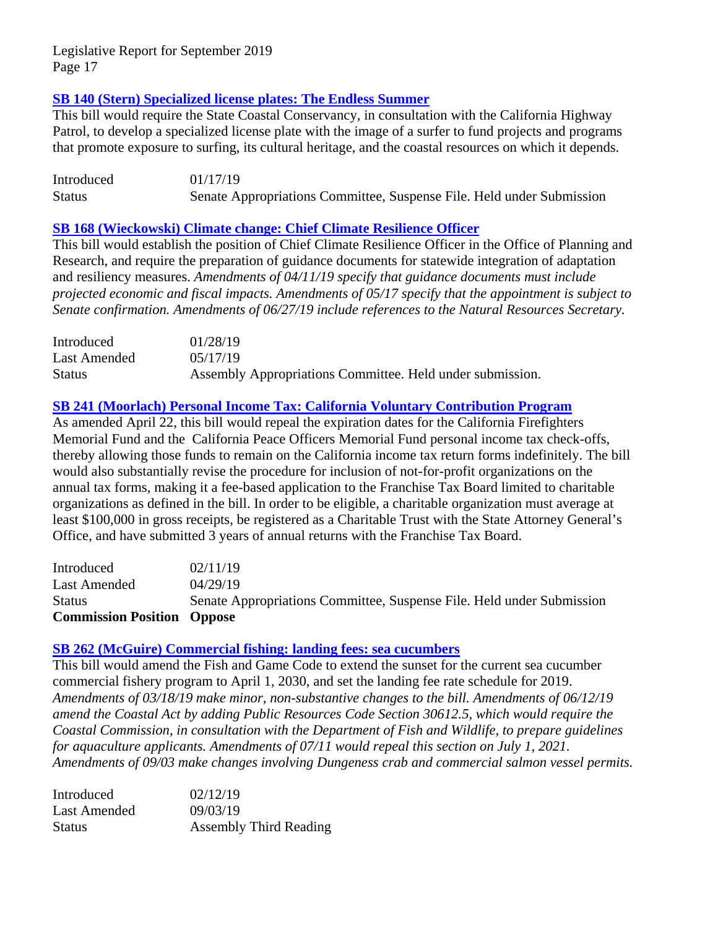# **[SB 140 \(Stern\) Specialized license plates: The Endless Summer](http://leginfo.legislature.ca.gov/faces/billNavClient.xhtml?bill_id=201920200SB140)**

This bill would require the State Coastal Conservancy, in consultation with the California Highway Patrol, to develop a specialized license plate with the image of a surfer to fund projects and programs that promote exposure to surfing, its cultural heritage, and the coastal resources on which it depends.

Introduced 01/17/19 Status Senate Appropriations Committee, Suspense File. Held under Submission

# **[SB 168 \(Wieckowski\) Climate change: Chief Climate Resilience Officer](http://leginfo.legislature.ca.gov/faces/billNavClient.xhtml?bill_id=201920200SB168)**

This bill would establish the position of Chief Climate Resilience Officer in the Office of Planning and Research, and require the preparation of guidance documents for statewide integration of adaptation and resiliency measures. *Amendments of 04/11/19 specify that guidance documents must include projected economic and fiscal impacts. Amendments of 05/17 specify that the appointment is subject to Senate confirmation. Amendments of 06/27/19 include references to the Natural Resources Secretary.* 

| Introduced    | 01/28/19                                                  |
|---------------|-----------------------------------------------------------|
| Last Amended  | 05/17/19                                                  |
| <b>Status</b> | Assembly Appropriations Committee. Held under submission. |

# **[SB 241 \(Moorlach\) Personal Income Tax: California Voluntary Contribution Program](http://leginfo.legislature.ca.gov/faces/billNavClient.xhtml?bill_id=201920200SB241)**

As amended April 22, this bill would repeal the expiration dates for the California Firefighters Memorial Fund and the California Peace Officers Memorial Fund personal income tax check-offs, thereby allowing those funds to remain on the California income tax return forms indefinitely. The bill would also substantially revise the procedure for inclusion of not-for-profit organizations on the annual tax forms, making it a fee-based application to the Franchise Tax Board limited to charitable organizations as defined in the bill. In order to be eligible, a charitable organization must average at least \$100,000 in gross receipts, be registered as a Charitable Trust with the State Attorney General's Office, and have submitted 3 years of annual returns with the Franchise Tax Board.

| <b>Commission Position Oppose</b> |                                                                       |
|-----------------------------------|-----------------------------------------------------------------------|
| <b>Status</b>                     | Senate Appropriations Committee, Suspense File. Held under Submission |
| Last Amended                      | 04/29/19                                                              |
| Introduced                        | 02/11/19                                                              |

#### **[SB 262 \(McGuire\) Commercial fishing: landing fees: sea cucumbers](http://leginfo.legislature.ca.gov/faces/billNavClient.xhtml?bill_id=201920200SB262)**

This bill would amend the Fish and Game Code to extend the sunset for the current sea cucumber commercial fishery program to April 1, 2030, and set the landing fee rate schedule for 2019. *Amendments of 03/18/19 make minor, non-substantive changes to the bill. Amendments of 06/12/19 amend the Coastal Act by adding Public Resources Code Section 30612.5, which would require the Coastal Commission, in consultation with the Department of Fish and Wildlife, to prepare guidelines for aquaculture applicants. Amendments of 07/11 would repeal this section on July 1, 2021. Amendments of 09/03 make changes involving Dungeness crab and commercial salmon vessel permits.* 

| Introduced    | 02/12/19                      |
|---------------|-------------------------------|
| Last Amended  | 09/03/19                      |
| <b>Status</b> | <b>Assembly Third Reading</b> |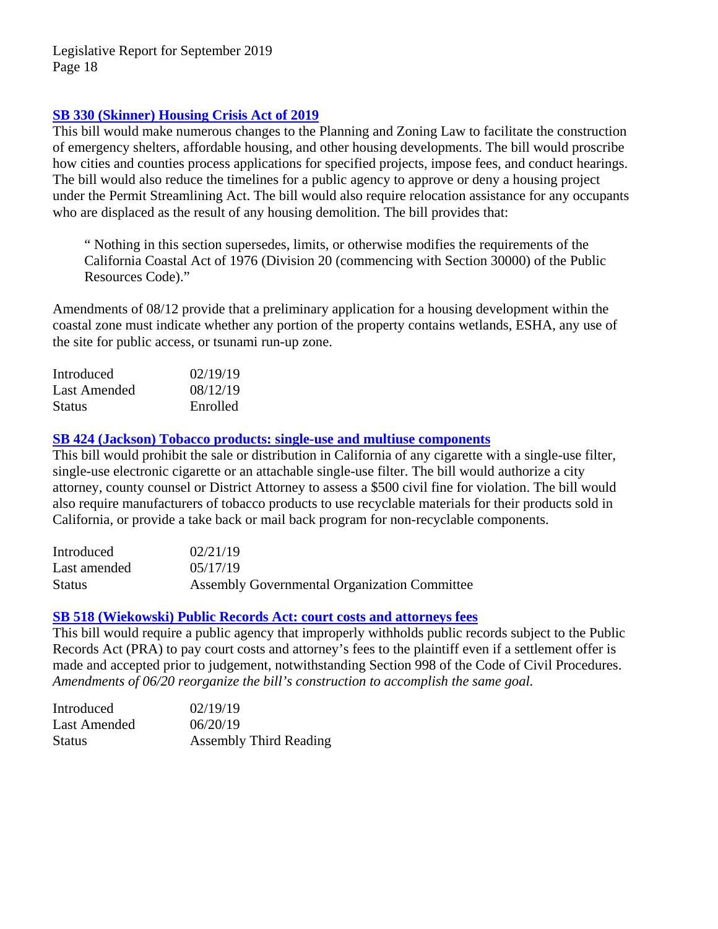# **[SB 330 \(Skinner\) Housing Crisis Act of 2019](http://leginfo.legislature.ca.gov/faces/billNavClient.xhtml?bill_id=201920200SB330)**

This bill would make numerous changes to the Planning and Zoning Law to facilitate the construction of emergency shelters, affordable housing, and other housing developments. The bill would proscribe how cities and counties process applications for specified projects, impose fees, and conduct hearings. The bill would also reduce the timelines for a public agency to approve or deny a housing project under the Permit Streamlining Act. The bill would also require relocation assistance for any occupants who are displaced as the result of any housing demolition. The bill provides that:

" Nothing in this section supersedes, limits, or otherwise modifies the requirements of the California Coastal Act of 1976 (Division 20 (commencing with Section 30000) of the Public Resources Code)."

Amendments of 08/12 provide that a preliminary application for a housing development within the coastal zone must indicate whether any portion of the property contains wetlands, ESHA, any use of the site for public access, or tsunami run-up zone.

| Introduced    | 02/19/19 |
|---------------|----------|
| Last Amended  | 08/12/19 |
| <b>Status</b> | Enrolled |

**[SB 424 \(Jackson\) Tobacco products: single-use and multiuse components](http://leginfo.legislature.ca.gov/faces/billNavClient.xhtml?bill_id=201920200SB424)**

This bill would prohibit the sale or distribution in California of any cigarette with a single-use filter, single-use electronic cigarette or an attachable single-use filter. The bill would authorize a city attorney, county counsel or District Attorney to assess a \$500 civil fine for violation. The bill would also require manufacturers of tobacco products to use recyclable materials for their products sold in California, or provide a take back or mail back program for non-recyclable components.

| Introduced    | 02/21/19                                     |
|---------------|----------------------------------------------|
| Last amended  | 0.5/17/19                                    |
| <b>Status</b> | Assembly Governmental Organization Committee |

#### **[SB 518 \(Wiekowski\) Public Records Act: court costs and attorneys fees](http://leginfo.legislature.ca.gov/faces/billTextClient.xhtml?bill_id=201920200SB518)**

This bill would require a public agency that improperly withholds public records subject to the Public Records Act (PRA) to pay court costs and attorney's fees to the plaintiff even if a settlement offer is made and accepted prior to judgement, notwithstanding Section 998 of the Code of Civil Procedures. *Amendments of 06/20 reorganize the bill's construction to accomplish the same goal.* 

| Introduced    | 02/19/19                      |
|---------------|-------------------------------|
| Last Amended  | 06/20/19                      |
| <b>Status</b> | <b>Assembly Third Reading</b> |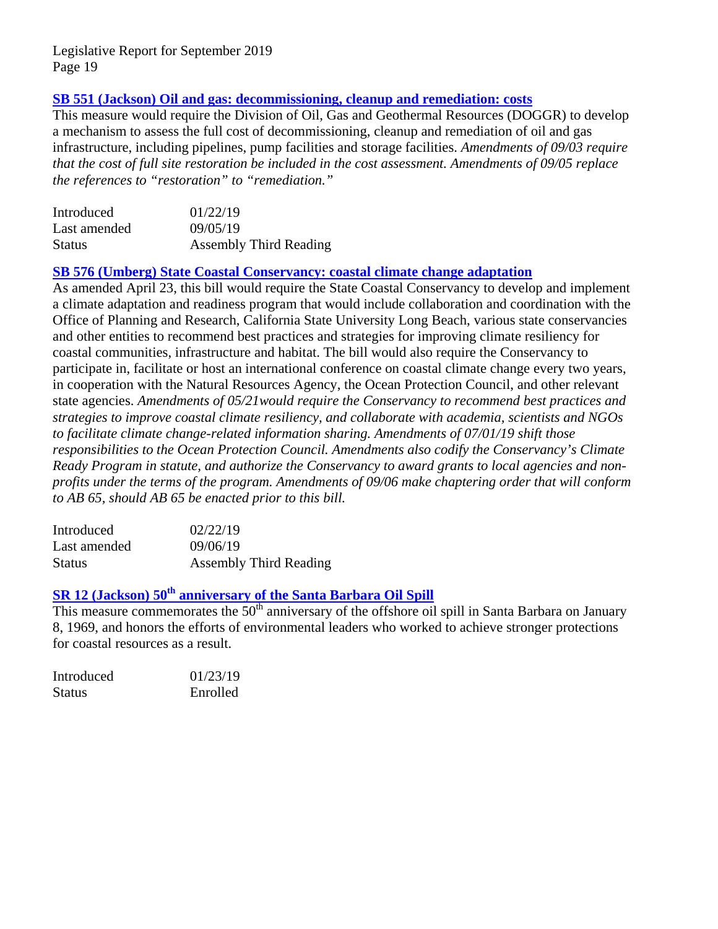# **[SB 551 \(Jackson\) Oil and gas: decommissioning, cleanup and remediation: costs](http://leginfo.legislature.ca.gov/faces/billNavClient.xhtml?bill_id=201920200SB551)**

This measure would require the Division of Oil, Gas and Geothermal Resources (DOGGR) to develop a mechanism to assess the full cost of decommissioning, cleanup and remediation of oil and gas infrastructure, including pipelines, pump facilities and storage facilities. *Amendments of 09/03 require that the cost of full site restoration be included in the cost assessment. Amendments of 09/05 replace the references to "restoration" to "remediation."*

| Introduced    | 01/22/19                      |
|---------------|-------------------------------|
| Last amended  | 09/05/19                      |
| <b>Status</b> | <b>Assembly Third Reading</b> |

**[SB 576 \(Umberg\) State Coastal Conservancy: coastal climate change adaptation](http://leginfo.legislature.ca.gov/faces/billNavClient.xhtml?bill_id=201920200SB576)**

As amended April 23, this bill would require the State Coastal Conservancy to develop and implement a climate adaptation and readiness program that would include collaboration and coordination with the Office of Planning and Research, California State University Long Beach, various state conservancies and other entities to recommend best practices and strategies for improving climate resiliency for coastal communities, infrastructure and habitat. The bill would also require the Conservancy to participate in, facilitate or host an international conference on coastal climate change every two years, in cooperation with the Natural Resources Agency, the Ocean Protection Council, and other relevant state agencies. *Amendments of 05/21would require the Conservancy to recommend best practices and strategies to improve coastal climate resiliency, and collaborate with academia, scientists and NGOs to facilitate climate change-related information sharing. Amendments of 07/01/19 shift those responsibilities to the Ocean Protection Council. Amendments also codify the Conservancy's Climate Ready Program in statute, and authorize the Conservancy to award grants to local agencies and nonprofits under the terms of the program. Amendments of 09/06 make chaptering order that will conform to AB 65, should AB 65 be enacted prior to this bill.* 

| Introduced    | 02/22/19                      |
|---------------|-------------------------------|
| Last amended  | 09/06/19                      |
| <b>Status</b> | <b>Assembly Third Reading</b> |

# **SR 12 (Jackson) 50[th anniversary of the Santa Barbara Oil Spill](http://leginfo.legislature.ca.gov/faces/billTextClient.xhtml?bill_id=201920200SR12)**

This measure commemorates the 50<sup>th</sup> anniversary of the offshore oil spill in Santa Barbara on January 8, 1969, and honors the efforts of environmental leaders who worked to achieve stronger protections for coastal resources as a result.

| Introduced    | 01/23/19 |
|---------------|----------|
| <b>Status</b> | Enrolled |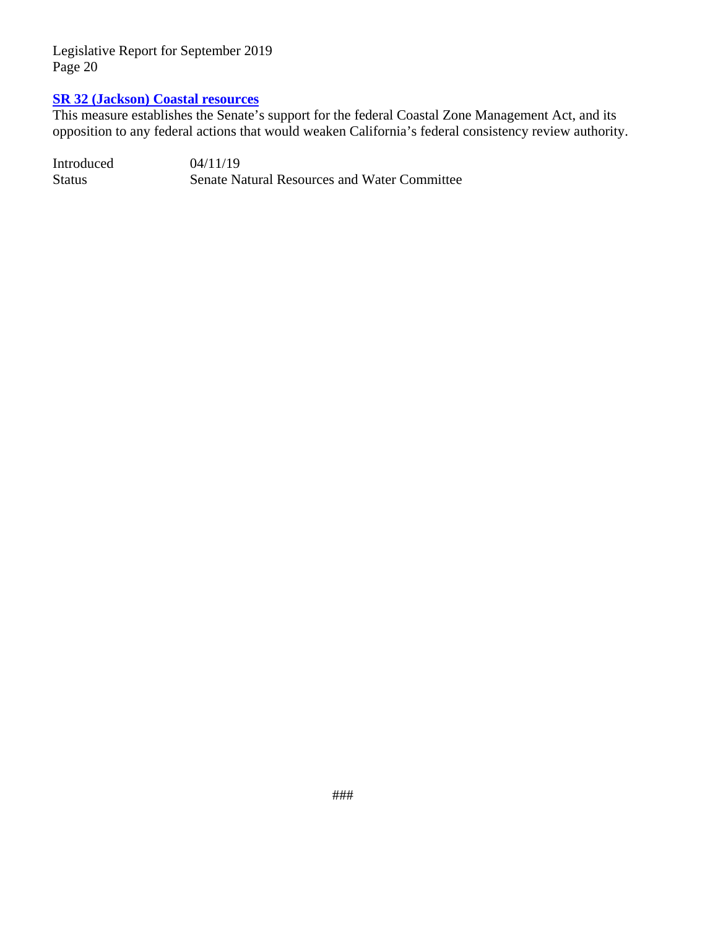# **[SR 32 \(Jackson\) Coastal resources](http://leginfo.legislature.ca.gov/faces/billNavClient.xhtml?bill_id=201920200SR32)**

This measure establishes the Senate's support for the federal Coastal Zone Management Act, and its opposition to any federal actions that would weaken California's federal consistency review authority.

Introduced 04/11/19 Status Senate Natural Resources and Water Committee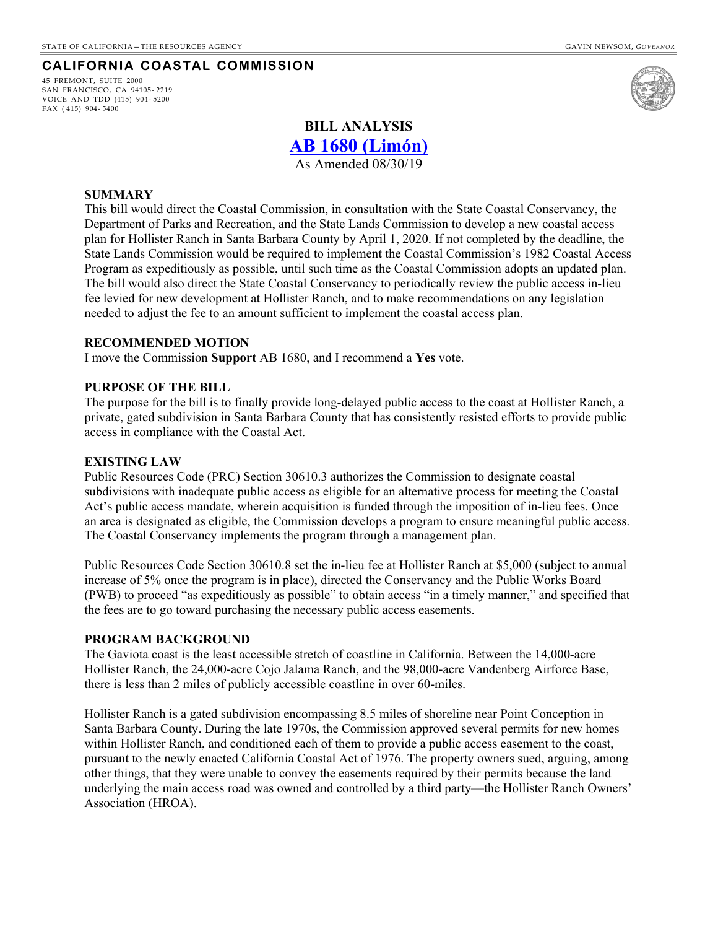#### **CALIFORNIA COASTAL COMMISSION**

45 FREMONT, SUITE 2000 SAN FRANCISCO, CA 94105- 2219 VOICE AND TDD (415) 904- 5200 FAX ( 415) 904- 5400



# **BILL ANALYSIS**

**[AB 1680 \(Limón\)](http://leginfo.legislature.ca.gov/faces/billNavClient.xhtml?bill_id=201920200AB1680)**

As Amended 08/30/19

#### **SUMMARY**

This bill would direct the Coastal Commission, in consultation with the State Coastal Conservancy, the Department of Parks and Recreation, and the State Lands Commission to develop a new coastal access plan for Hollister Ranch in Santa Barbara County by April 1, 2020. If not completed by the deadline, the State Lands Commission would be required to implement the Coastal Commission's 1982 Coastal Access Program as expeditiously as possible, until such time as the Coastal Commission adopts an updated plan. The bill would also direct the State Coastal Conservancy to periodically review the public access in-lieu fee levied for new development at Hollister Ranch, and to make recommendations on any legislation needed to adjust the fee to an amount sufficient to implement the coastal access plan.

#### **RECOMMENDED MOTION**

I move the Commission **Support** AB 1680, and I recommend a **Yes** vote.

#### **PURPOSE OF THE BILL**

The purpose for the bill is to finally provide long-delayed public access to the coast at Hollister Ranch, a private, gated subdivision in Santa Barbara County that has consistently resisted efforts to provide public access in compliance with the Coastal Act.

#### **EXISTING LAW**

Public Resources Code (PRC) Section 30610.3 authorizes the Commission to designate coastal subdivisions with inadequate public access as eligible for an alternative process for meeting the Coastal Act's public access mandate, wherein acquisition is funded through the imposition of in-lieu fees. Once an area is designated as eligible, the Commission develops a program to ensure meaningful public access. The Coastal Conservancy implements the program through a management plan.

Public Resources Code Section 30610.8 set the in-lieu fee at Hollister Ranch at \$5,000 (subject to annual increase of 5% once the program is in place), directed the Conservancy and the Public Works Board (PWB) to proceed "as expeditiously as possible" to obtain access "in a timely manner," and specified that the fees are to go toward purchasing the necessary public access easements.

#### **PROGRAM BACKGROUND**

The Gaviota coast is the least accessible stretch of coastline in California. Between the 14,000-acre Hollister Ranch, the 24,000-acre Cojo Jalama Ranch, and the 98,000-acre Vandenberg Airforce Base, there is less than 2 miles of publicly accessible coastline in over 60-miles.

Hollister Ranch is a gated subdivision encompassing 8.5 miles of shoreline near Point Conception in Santa Barbara County. During the late 1970s, the Commission approved several permits for new homes within Hollister Ranch, and conditioned each of them to provide a public access easement to the coast, pursuant to the newly enacted California Coastal Act of 1976. The property owners sued, arguing, among other things, that they were unable to convey the easements required by their permits because the land underlying the main access road was owned and controlled by a third party—the Hollister Ranch Owners' Association (HROA).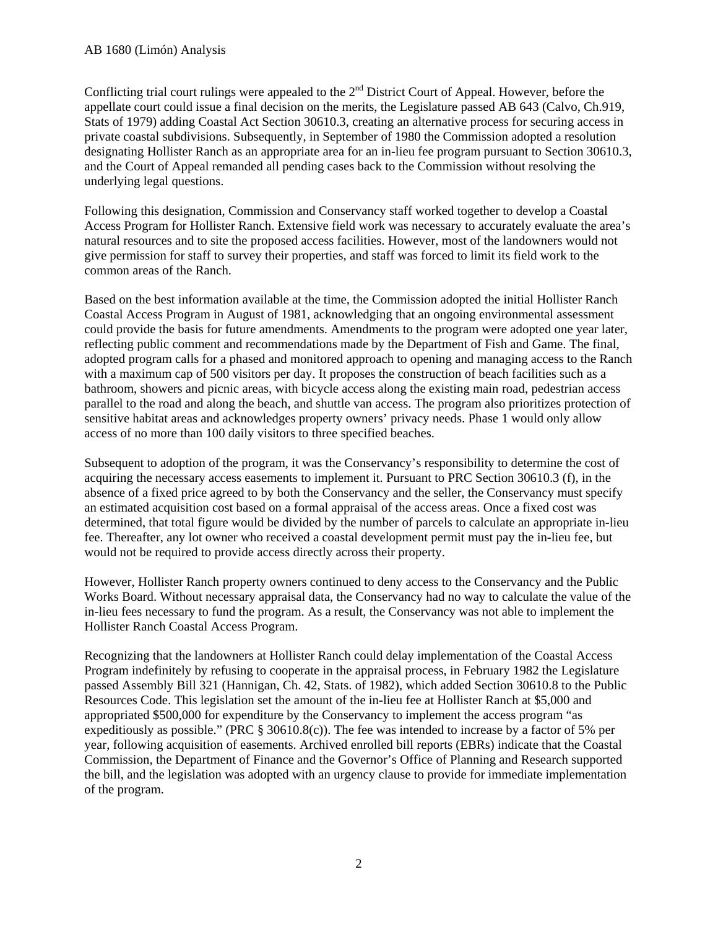Conflicting trial court rulings were appealed to the  $2<sup>nd</sup>$  District Court of Appeal. However, before the appellate court could issue a final decision on the merits, the Legislature passed AB 643 (Calvo, Ch.919, Stats of 1979) adding Coastal Act Section 30610.3, creating an alternative process for securing access in private coastal subdivisions. Subsequently, in September of 1980 the Commission adopted a resolution designating Hollister Ranch as an appropriate area for an in-lieu fee program pursuant to Section 30610.3, and the Court of Appeal remanded all pending cases back to the Commission without resolving the underlying legal questions.

Following this designation, Commission and Conservancy staff worked together to develop a Coastal Access Program for Hollister Ranch. Extensive field work was necessary to accurately evaluate the area's natural resources and to site the proposed access facilities. However, most of the landowners would not give permission for staff to survey their properties, and staff was forced to limit its field work to the common areas of the Ranch.

Based on the best information available at the time, the Commission adopted the initial Hollister Ranch Coastal Access Program in August of 1981, acknowledging that an ongoing environmental assessment could provide the basis for future amendments. Amendments to the program were adopted one year later, reflecting public comment and recommendations made by the Department of Fish and Game. The final, adopted program calls for a phased and monitored approach to opening and managing access to the Ranch with a maximum cap of 500 visitors per day. It proposes the construction of beach facilities such as a bathroom, showers and picnic areas, with bicycle access along the existing main road, pedestrian access parallel to the road and along the beach, and shuttle van access. The program also prioritizes protection of sensitive habitat areas and acknowledges property owners' privacy needs. Phase 1 would only allow access of no more than 100 daily visitors to three specified beaches.

Subsequent to adoption of the program, it was the Conservancy's responsibility to determine the cost of acquiring the necessary access easements to implement it. Pursuant to PRC Section 30610.3 (f), in the absence of a fixed price agreed to by both the Conservancy and the seller, the Conservancy must specify an estimated acquisition cost based on a formal appraisal of the access areas. Once a fixed cost was determined, that total figure would be divided by the number of parcels to calculate an appropriate in-lieu fee. Thereafter, any lot owner who received a coastal development permit must pay the in-lieu fee, but would not be required to provide access directly across their property.

However, Hollister Ranch property owners continued to deny access to the Conservancy and the Public Works Board. Without necessary appraisal data, the Conservancy had no way to calculate the value of the in-lieu fees necessary to fund the program. As a result, the Conservancy was not able to implement the Hollister Ranch Coastal Access Program.

Recognizing that the landowners at Hollister Ranch could delay implementation of the Coastal Access Program indefinitely by refusing to cooperate in the appraisal process, in February 1982 the Legislature passed Assembly Bill 321 (Hannigan, Ch. 42, Stats. of 1982), which added Section 30610.8 to the Public Resources Code. This legislation set the amount of the in-lieu fee at Hollister Ranch at \$5,000 and appropriated \$500,000 for expenditure by the Conservancy to implement the access program "as expeditiously as possible." (PRC § 30610.8(c)). The fee was intended to increase by a factor of 5% per year, following acquisition of easements. Archived enrolled bill reports (EBRs) indicate that the Coastal Commission, the Department of Finance and the Governor's Office of Planning and Research supported the bill, and the legislation was adopted with an urgency clause to provide for immediate implementation of the program.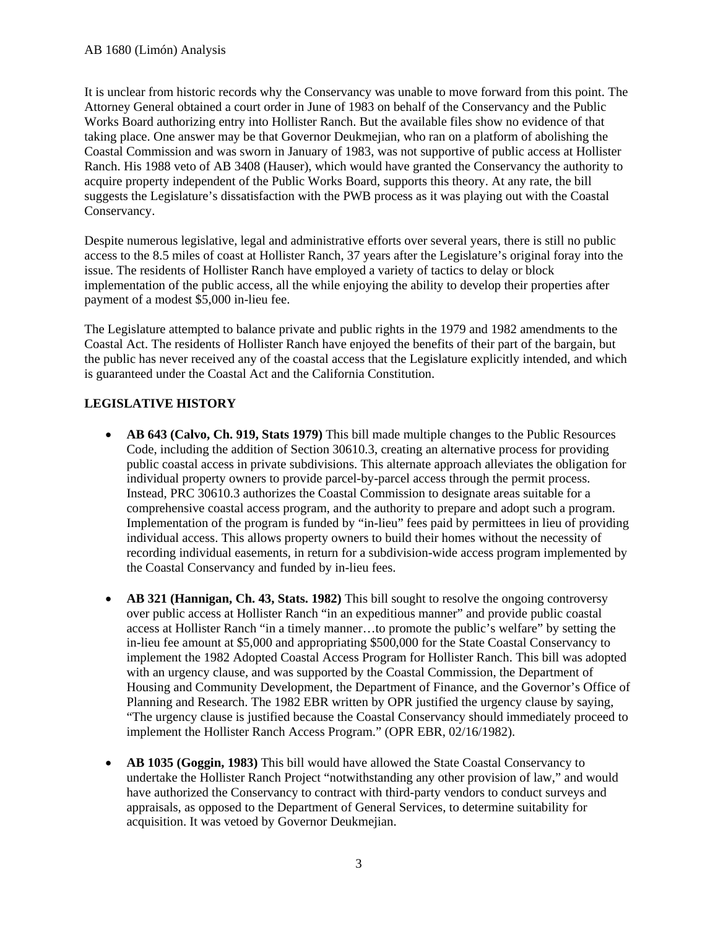It is unclear from historic records why the Conservancy was unable to move forward from this point. The Attorney General obtained a court order in June of 1983 on behalf of the Conservancy and the Public Works Board authorizing entry into Hollister Ranch. But the available files show no evidence of that taking place. One answer may be that Governor Deukmejian, who ran on a platform of abolishing the Coastal Commission and was sworn in January of 1983, was not supportive of public access at Hollister Ranch. His 1988 veto of AB 3408 (Hauser), which would have granted the Conservancy the authority to acquire property independent of the Public Works Board, supports this theory. At any rate, the bill suggests the Legislature's dissatisfaction with the PWB process as it was playing out with the Coastal Conservancy.

Despite numerous legislative, legal and administrative efforts over several years, there is still no public access to the 8.5 miles of coast at Hollister Ranch, 37 years after the Legislature's original foray into the issue. The residents of Hollister Ranch have employed a variety of tactics to delay or block implementation of the public access, all the while enjoying the ability to develop their properties after payment of a modest \$5,000 in-lieu fee.

The Legislature attempted to balance private and public rights in the 1979 and 1982 amendments to the Coastal Act. The residents of Hollister Ranch have enjoyed the benefits of their part of the bargain, but the public has never received any of the coastal access that the Legislature explicitly intended, and which is guaranteed under the Coastal Act and the California Constitution.

# **LEGISLATIVE HISTORY**

- **AB 643 (Calvo, Ch. 919, Stats 1979)** This bill made multiple changes to the Public Resources Code, including the addition of Section 30610.3, creating an alternative process for providing public coastal access in private subdivisions. This alternate approach alleviates the obligation for individual property owners to provide parcel-by-parcel access through the permit process. Instead, PRC 30610.3 authorizes the Coastal Commission to designate areas suitable for a comprehensive coastal access program, and the authority to prepare and adopt such a program. Implementation of the program is funded by "in-lieu" fees paid by permittees in lieu of providing individual access. This allows property owners to build their homes without the necessity of recording individual easements, in return for a subdivision-wide access program implemented by the Coastal Conservancy and funded by in-lieu fees.
- **AB 321 (Hannigan, Ch. 43, Stats. 1982)** This bill sought to resolve the ongoing controversy over public access at Hollister Ranch "in an expeditious manner" and provide public coastal access at Hollister Ranch "in a timely manner…to promote the public's welfare" by setting the in-lieu fee amount at \$5,000 and appropriating \$500,000 for the State Coastal Conservancy to implement the 1982 Adopted Coastal Access Program for Hollister Ranch. This bill was adopted with an urgency clause, and was supported by the Coastal Commission, the Department of Housing and Community Development, the Department of Finance, and the Governor's Office of Planning and Research. The 1982 EBR written by OPR justified the urgency clause by saying, "The urgency clause is justified because the Coastal Conservancy should immediately proceed to implement the Hollister Ranch Access Program." (OPR EBR, 02/16/1982).
- **AB 1035 (Goggin, 1983)** This bill would have allowed the State Coastal Conservancy to undertake the Hollister Ranch Project "notwithstanding any other provision of law," and would have authorized the Conservancy to contract with third-party vendors to conduct surveys and appraisals, as opposed to the Department of General Services, to determine suitability for acquisition. It was vetoed by Governor Deukmejian.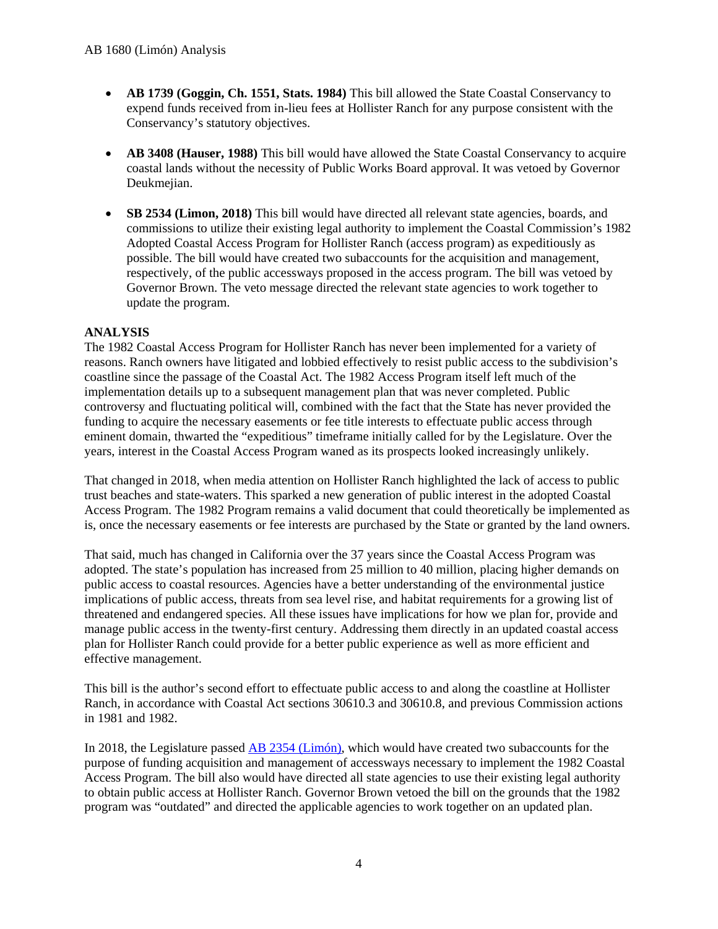- **AB 1739 (Goggin, Ch. 1551, Stats. 1984)** This bill allowed the State Coastal Conservancy to expend funds received from in-lieu fees at Hollister Ranch for any purpose consistent with the Conservancy's statutory objectives.
- **AB 3408 (Hauser, 1988)** This bill would have allowed the State Coastal Conservancy to acquire coastal lands without the necessity of Public Works Board approval. It was vetoed by Governor Deukmeiian.
- **SB 2534 (Limon, 2018)** This bill would have directed all relevant state agencies, boards, and commissions to utilize their existing legal authority to implement the Coastal Commission's 1982 Adopted Coastal Access Program for Hollister Ranch (access program) as expeditiously as possible. The bill would have created two subaccounts for the acquisition and management, respectively, of the public accessways proposed in the access program. The bill was vetoed by Governor Brown. The veto message directed the relevant state agencies to work together to update the program.

#### **ANALYSIS**

The 1982 Coastal Access Program for Hollister Ranch has never been implemented for a variety of reasons. Ranch owners have litigated and lobbied effectively to resist public access to the subdivision's coastline since the passage of the Coastal Act. The 1982 Access Program itself left much of the implementation details up to a subsequent management plan that was never completed. Public controversy and fluctuating political will, combined with the fact that the State has never provided the funding to acquire the necessary easements or fee title interests to effectuate public access through eminent domain, thwarted the "expeditious" timeframe initially called for by the Legislature. Over the years, interest in the Coastal Access Program waned as its prospects looked increasingly unlikely.

That changed in 2018, when media attention on Hollister Ranch highlighted the lack of access to public trust beaches and state-waters. This sparked a new generation of public interest in the adopted Coastal Access Program. The 1982 Program remains a valid document that could theoretically be implemented as is, once the necessary easements or fee interests are purchased by the State or granted by the land owners.

That said, much has changed in California over the 37 years since the Coastal Access Program was adopted. The state's population has increased from 25 million to 40 million, placing higher demands on public access to coastal resources. Agencies have a better understanding of the environmental justice implications of public access, threats from sea level rise, and habitat requirements for a growing list of threatened and endangered species. All these issues have implications for how we plan for, provide and manage public access in the twenty-first century. Addressing them directly in an updated coastal access plan for Hollister Ranch could provide for a better public experience as well as more efficient and effective management.

This bill is the author's second effort to effectuate public access to and along the coastline at Hollister Ranch, in accordance with Coastal Act sections 30610.3 and 30610.8, and previous Commission actions in 1981 and 1982.

In 2018, the Legislature passed [AB 2354 \(Limón\),](http://leginfo.legislature.ca.gov/faces/billNavClient.xhtml?bill_id=201720180AB2534) which would have created two subaccounts for the purpose of funding acquisition and management of accessways necessary to implement the 1982 Coastal Access Program. The bill also would have directed all state agencies to use their existing legal authority to obtain public access at Hollister Ranch. Governor Brown vetoed the bill on the grounds that the 1982 program was "outdated" and directed the applicable agencies to work together on an updated plan.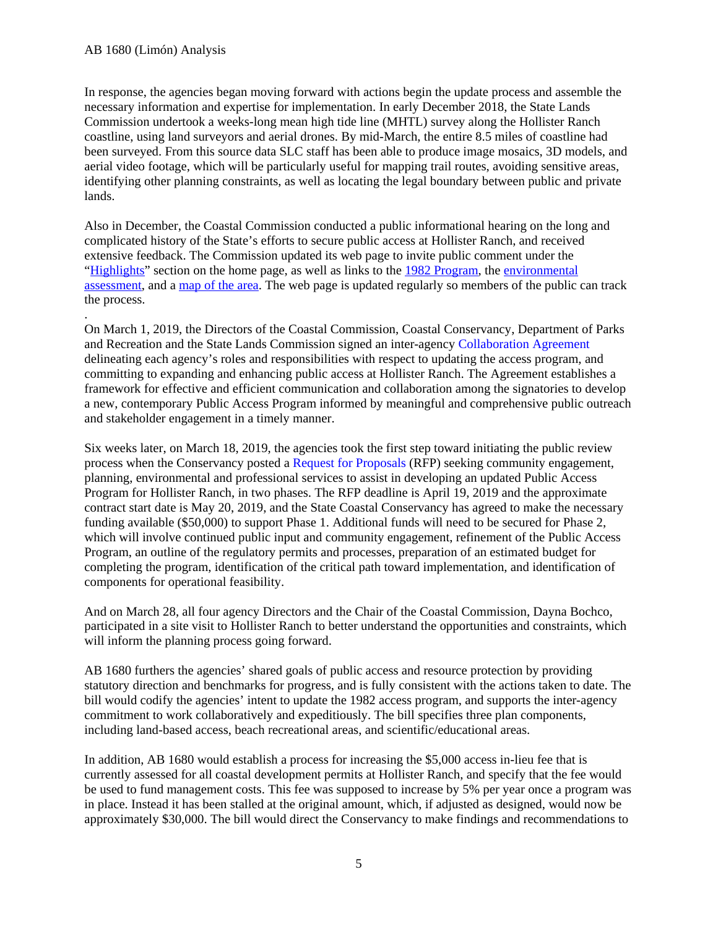In response, the agencies began moving forward with actions begin the update process and assemble the necessary information and expertise for implementation. In early December 2018, the State Lands Commission undertook a weeks-long mean high tide line (MHTL) survey along the Hollister Ranch coastline, using land surveyors and aerial drones. By mid-March, the entire 8.5 miles of coastline had been surveyed. From this source data SLC staff has been able to produce image mosaics, 3D models, and aerial video footage, which will be particularly useful for mapping trail routes, avoiding sensitive areas, identifying other planning constraints, as well as locating the legal boundary between public and private lands.

Also in December, the Coastal Commission conducted a public informational hearing on the long and complicated history of the State's efforts to secure public access at Hollister Ranch, and received extensive feedback. The Commission updated its web page to invite public comment under the ["Highlights"](https://www.coastal.ca.gov/hollister-ranch/) section on the home page, as well as links to the [1982 Program,](https://documents.coastal.ca.gov/assets/hollister-ranch/1982%20Hollister%20Ranch%20Plan%20Revised%20Findings.pdf) the [environmental](https://documents.coastal.ca.gov/assets/hollister-ranch/Hollister%20Ranch%20Environmental%20Assessment%20(3.3.82).pdf)  [assessment,](https://documents.coastal.ca.gov/assets/hollister-ranch/Hollister%20Ranch%20Environmental%20Assessment%20(3.3.82).pdf) and a [map of the area.](https://www.coastal.ca.gov/hollister-ranch/) The web page is updated regularly so members of the public can track the process.

. On March 1, 2019, the Directors of the Coastal Commission, Coastal Conservancy, Department of Parks and Recreation and the State Lands Commission signed an inter-agency Collaboration Agreement delineating each agency's roles and responsibilities with respect to updating the access program, and committing to expanding and enhancing public access at Hollister Ranch. The Agreement establishes a framework for effective and efficient communication and collaboration among the signatories to develop a new, contemporary Public Access Program informed by meaningful and comprehensive public outreach and stakeholder engagement in a timely manner.

Six weeks later, on March 18, 2019, the agencies took the first step toward initiating the public review process when the Conservancy posted a Request for Proposals (RFP) seeking community engagement, planning, environmental and professional services to assist in developing an updated Public Access Program for Hollister Ranch, in two phases. The RFP deadline is April 19, 2019 and the approximate contract start date is May 20, 2019, and the State Coastal Conservancy has agreed to make the necessary funding available (\$50,000) to support Phase 1. Additional funds will need to be secured for Phase 2, which will involve continued public input and community engagement, refinement of the Public Access Program, an outline of the regulatory permits and processes, preparation of an estimated budget for completing the program, identification of the critical path toward implementation, and identification of components for operational feasibility.

And on March 28, all four agency Directors and the Chair of the Coastal Commission, Dayna Bochco, participated in a site visit to Hollister Ranch to better understand the opportunities and constraints, which will inform the planning process going forward.

AB 1680 furthers the agencies' shared goals of public access and resource protection by providing statutory direction and benchmarks for progress, and is fully consistent with the actions taken to date. The bill would codify the agencies' intent to update the 1982 access program, and supports the inter-agency commitment to work collaboratively and expeditiously. The bill specifies three plan components, including land-based access, beach recreational areas, and scientific/educational areas.

In addition, AB 1680 would establish a process for increasing the \$5,000 access in-lieu fee that is currently assessed for all coastal development permits at Hollister Ranch, and specify that the fee would be used to fund management costs. This fee was supposed to increase by 5% per year once a program was in place. Instead it has been stalled at the original amount, which, if adjusted as designed, would now be approximately \$30,000. The bill would direct the Conservancy to make findings and recommendations to